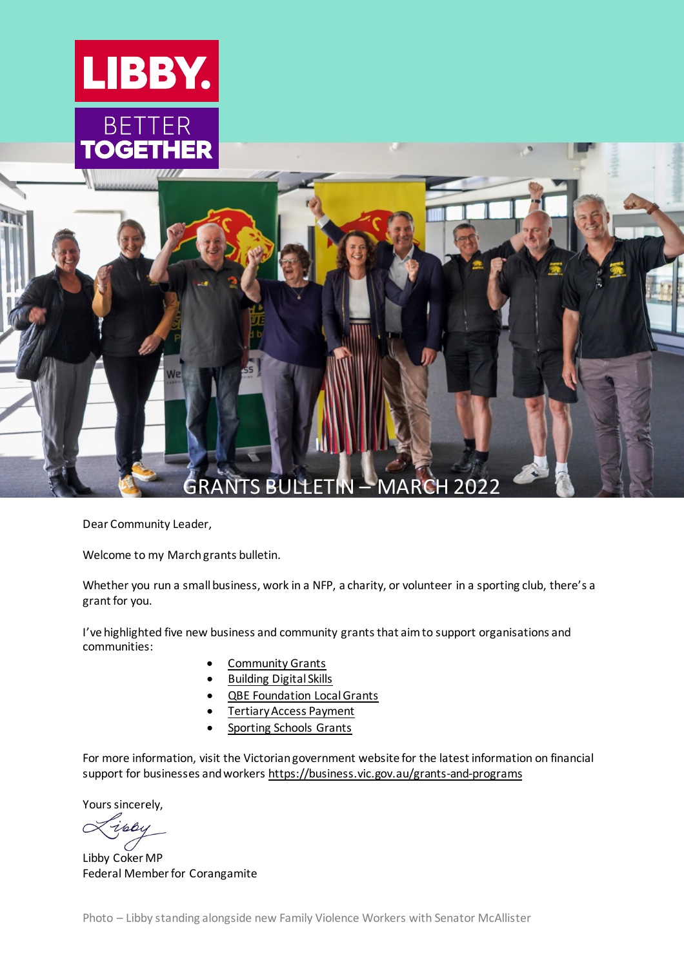



<span id="page-0-0"></span>Dear Community Leader,

Welcome to my March grants bulletin.

Whether you run a small business, work in a NFP, a charity, or volunteer in a sporting club, there's a grant for you.

I've highlighted five new business and community grants that aim to support organisations and communities:

- [Community Grants](https://damiengreer.com.au/community-grant/)
- [Building Digital Skills](https://www.beconnectednetwork.org.au/grant-program/building-digital-skills-grants)
- [QBE Foundation Local Grants](https://www.qbe.com/au/about/sponsorship-community/the-qbe-foundation/local-grants)
- **Tertiary Access Payment**
- [Sporting Schools Grants](https://www.sportaus.gov.au/schools/schools/funding)

For more information, visit the Victorian government website for the latest information on financial support for businesses and workers <https://business.vic.gov.au/grants-and-programs>

Yours sincerely,

Libby Coker MP Federal Member for Corangamite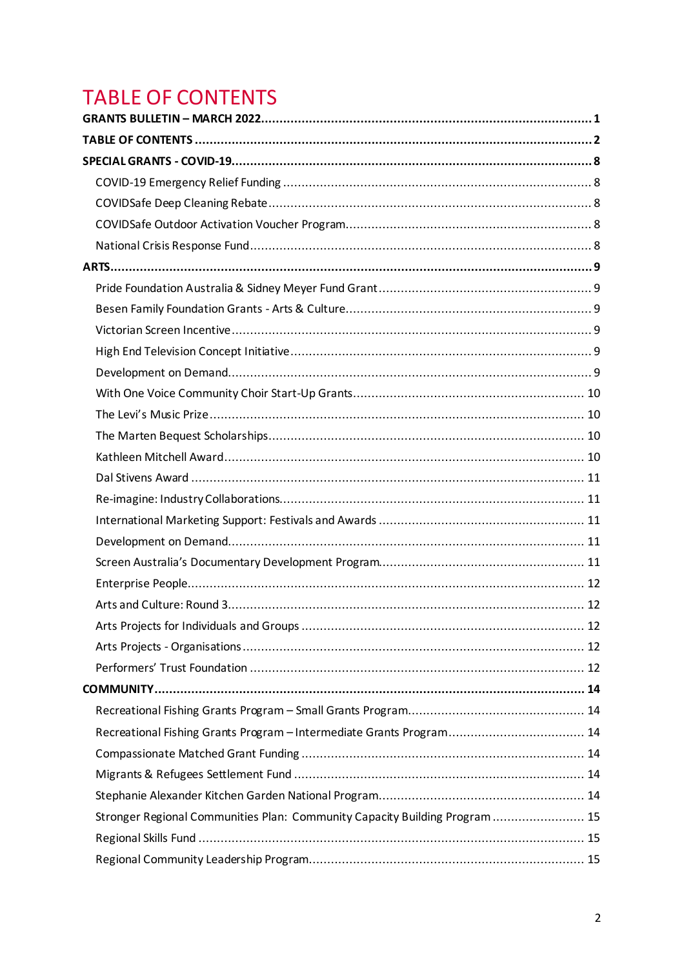# <span id="page-1-0"></span>**TABLE OF CONTENTS**

| Recreational Fishing Grants Program - Intermediate Grants Program 14        |  |
|-----------------------------------------------------------------------------|--|
|                                                                             |  |
|                                                                             |  |
|                                                                             |  |
| Stronger Regional Communities Plan: Community Capacity Building Program  15 |  |
|                                                                             |  |
|                                                                             |  |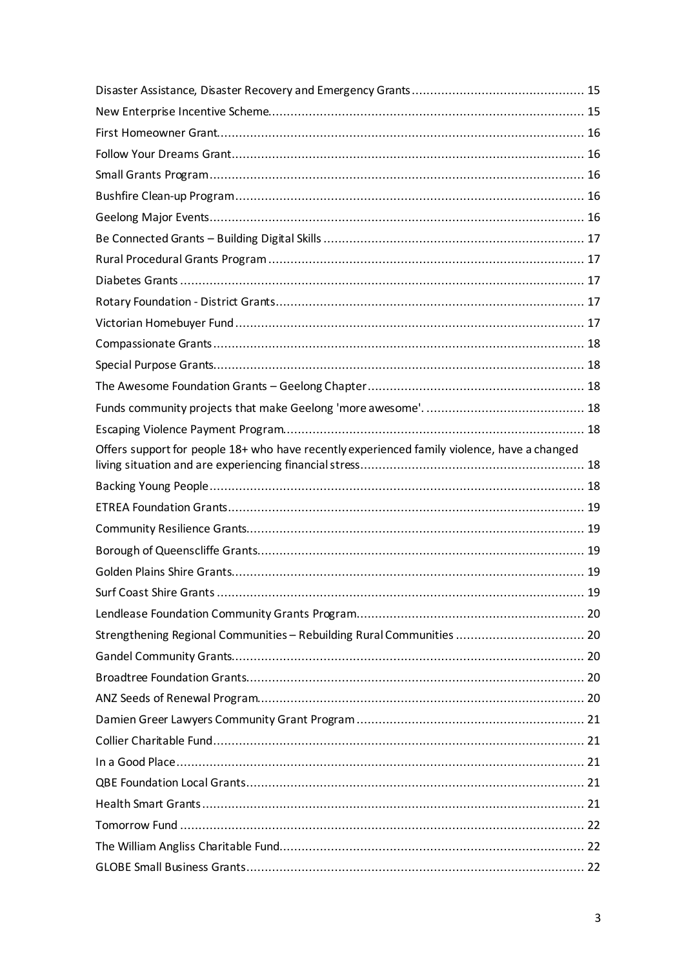| Offers support for people 18+ who have recently experienced family violence, have a changed |  |
|---------------------------------------------------------------------------------------------|--|
|                                                                                             |  |
|                                                                                             |  |
|                                                                                             |  |
|                                                                                             |  |
|                                                                                             |  |
|                                                                                             |  |
|                                                                                             |  |
| Strengthening Regional Communities - Rebuilding Rural Communities  20                       |  |
|                                                                                             |  |
|                                                                                             |  |
|                                                                                             |  |
|                                                                                             |  |
|                                                                                             |  |
|                                                                                             |  |
|                                                                                             |  |
|                                                                                             |  |
|                                                                                             |  |
|                                                                                             |  |
|                                                                                             |  |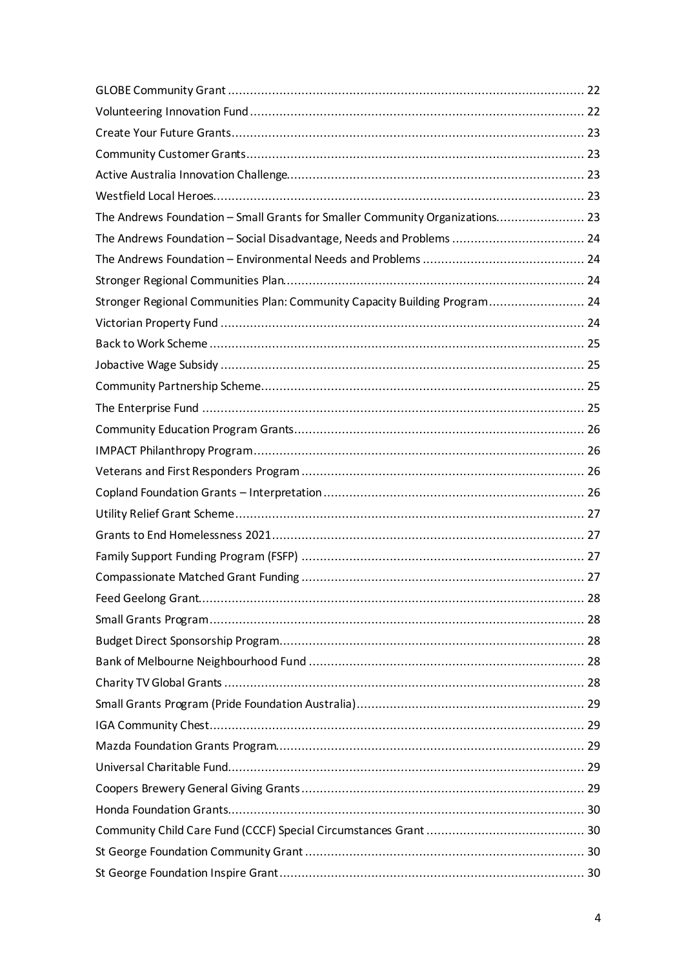| The Andrews Foundation - Small Grants for Smaller Community Organizations 23 |  |
|------------------------------------------------------------------------------|--|
| The Andrews Foundation - Social Disadvantage, Needs and Problems  24         |  |
|                                                                              |  |
|                                                                              |  |
| Stronger Regional Communities Plan: Community Capacity Building Program 24   |  |
|                                                                              |  |
|                                                                              |  |
|                                                                              |  |
|                                                                              |  |
|                                                                              |  |
|                                                                              |  |
|                                                                              |  |
|                                                                              |  |
|                                                                              |  |
|                                                                              |  |
|                                                                              |  |
|                                                                              |  |
|                                                                              |  |
|                                                                              |  |
|                                                                              |  |
|                                                                              |  |
|                                                                              |  |
|                                                                              |  |
|                                                                              |  |
|                                                                              |  |
|                                                                              |  |
|                                                                              |  |
|                                                                              |  |
|                                                                              |  |
|                                                                              |  |
|                                                                              |  |
|                                                                              |  |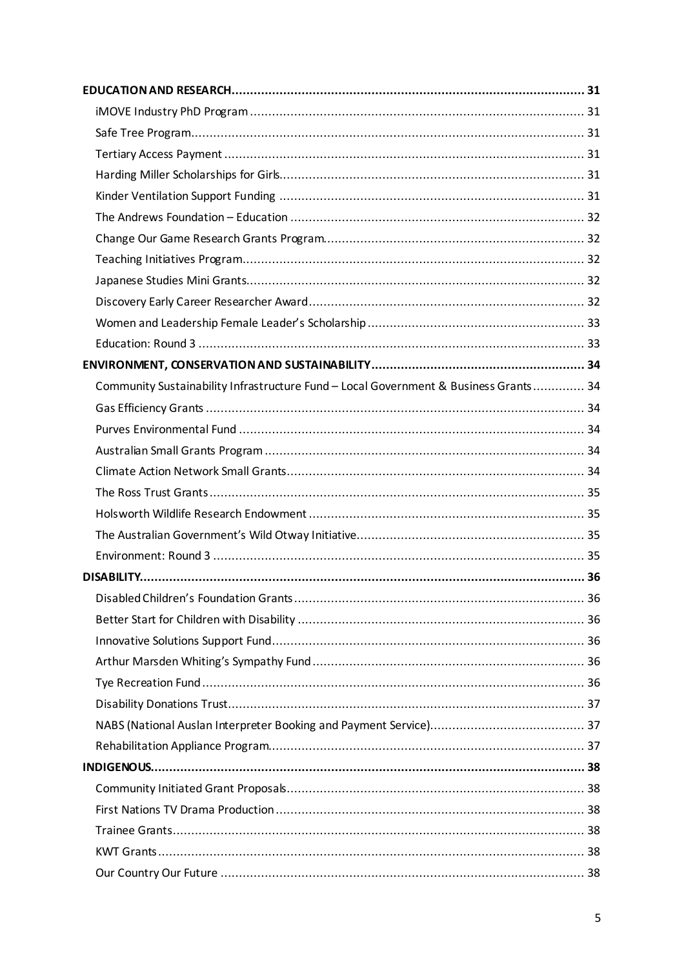| Community Sustainability Infrastructure Fund - Local Government & Business Grants 34 |  |
|--------------------------------------------------------------------------------------|--|
|                                                                                      |  |
|                                                                                      |  |
|                                                                                      |  |
|                                                                                      |  |
|                                                                                      |  |
|                                                                                      |  |
|                                                                                      |  |
|                                                                                      |  |
|                                                                                      |  |
|                                                                                      |  |
|                                                                                      |  |
|                                                                                      |  |
|                                                                                      |  |
|                                                                                      |  |
|                                                                                      |  |
|                                                                                      |  |
|                                                                                      |  |
|                                                                                      |  |
|                                                                                      |  |
|                                                                                      |  |
|                                                                                      |  |
|                                                                                      |  |
|                                                                                      |  |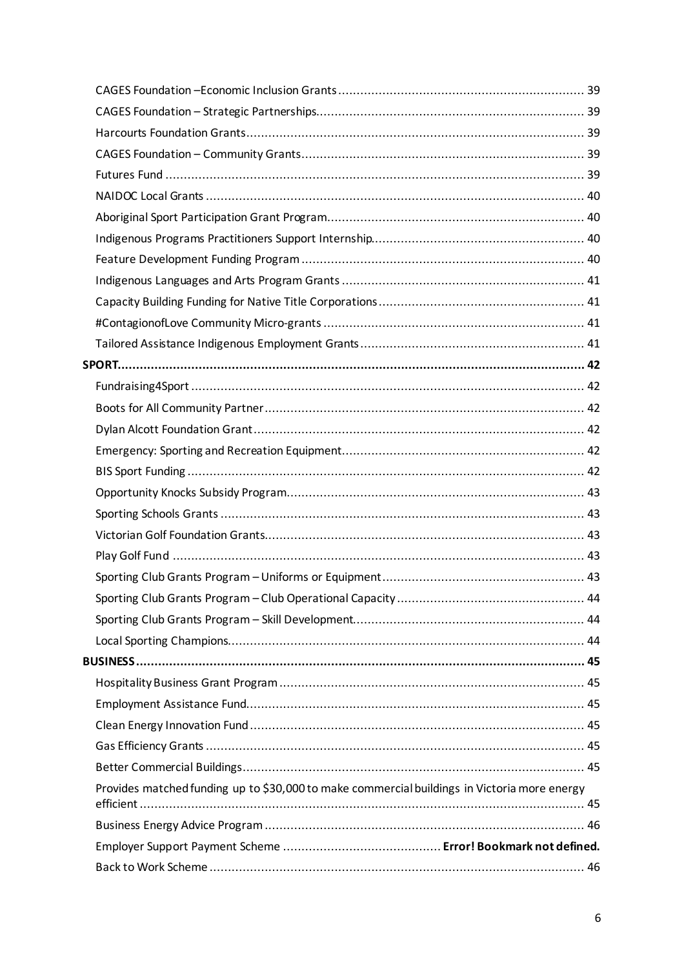| Provides matched funding up to \$30,000 to make commercial buildings in Victoria more energy |  |
|----------------------------------------------------------------------------------------------|--|
|                                                                                              |  |
|                                                                                              |  |
|                                                                                              |  |
|                                                                                              |  |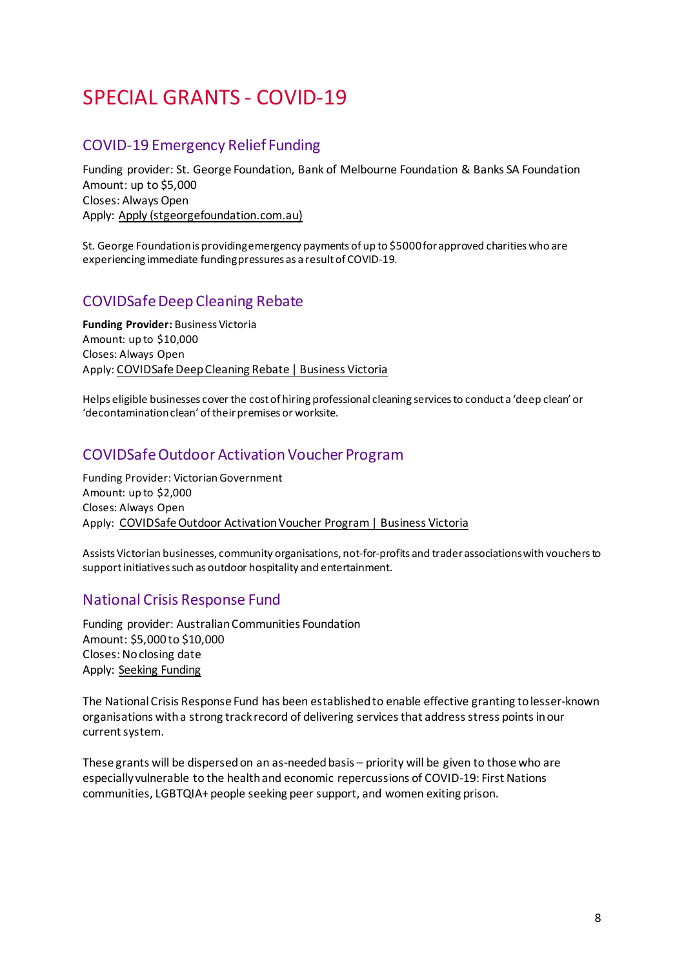# <span id="page-7-0"></span>SPECIAL GRANTS - COVID-19

# <span id="page-7-1"></span>COVID-19 Emergency Relief Funding

Funding provider: St. George Foundation, Bank of Melbourne Foundation & Banks SA Foundation Amount: up to \$5,000 Closes: Always Open Apply: [Apply \(stgeorgefoundation.com.au\)](https://www.stgeorgefoundation.com.au/apply)

St. George Foundation is providing emergency payments of up to \$5000 for approved charities who are experiencing immediate funding pressures as a result of COVID-19.

# <span id="page-7-2"></span>COVIDSafe Deep Cleaning Rebate

**Funding Provider:** Business Victoria Amount: up to \$10,000 Closes: Always Open Apply: [COVIDSafe Deep Cleaning Rebate | Business Victoria](https://business.vic.gov.au/grants-and-programs/covid-safe-deep-cleaning-rebate)

Helps eligible businesses cover the cost of hiring professional cleaning services to conduct a 'deep clean' or 'decontamination clean' of their premises or worksite.

# <span id="page-7-3"></span>COVIDSafe Outdoor Activation Voucher Program

Funding Provider: Victorian Government Amount: up to \$2,000 Closes: Always Open Apply: [COVIDSafe Outdoor Activation Voucher Program | Business Victoria](https://business.vic.gov.au/grants-and-programs/covidsafe-outdoor-activation-voucher-program)

Assists Victorian businesses, community organisations, not-for-profits and trader associations with vouchers to support initiatives such as outdoor hospitality and entertainment.

# <span id="page-7-4"></span>National Crisis Response Fund

Funding provider: Australian Communities Foundation Amount: \$5,000 to \$10,000 Closes: No closing date Apply: [Seeking Funding](https://communityfoundation.org.au/making-a-difference/seeking-funding/)

The National Crisis Response Fund has been established to enable effective granting to lesser-known organisations with a strong track record of delivering services that address stress points in our current system.

These grants will be dispersed on an as-needed basis – priority will be given to those who are especially vulnerable to the health and economic repercussions of COVID-19: First Nations communities, LGBTQIA+ people seeking peer support, and women exiting prison.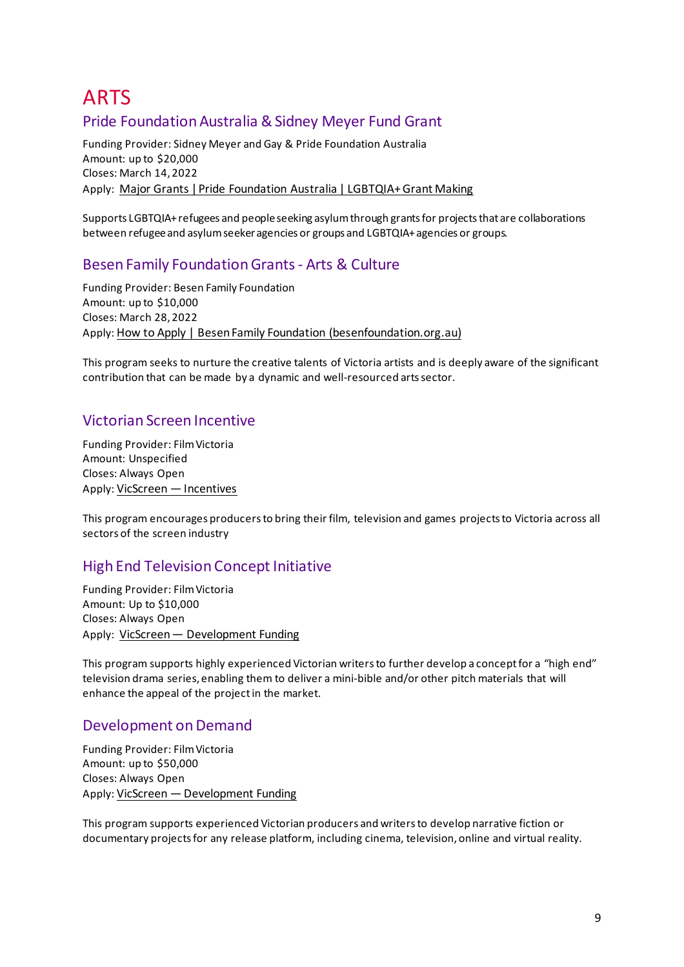# <span id="page-8-0"></span>ARTS Pride Foundation Australia & Sidney Meyer Fund Grant

<span id="page-8-1"></span>Funding Provider: Sidney Meyer and Gay & Pride Foundation Australia Amount: up to \$20,000 Closes: March 14, 2022 Apply: [Major Grants | Pride Foundation Australia | LGBTQIA+ Grant Making](https://pridefoundation.org.au/major-grants/)

Supports LGBTQIA+ refugees and people seeking asylum through grants for projects that are collaborations between refugee and asylum seeker agencies or groups and LGBTQIA+ agencies or groups.

# <span id="page-8-2"></span>Besen Family Foundation Grants - Arts & Culture

Funding Provider: Besen Family Foundation Amount: up to \$10,000 Closes: March 28, 2022 Apply[: How to Apply | Besen Family Foundation \(besenfoundation.org.au\)](https://www.besenfoundation.org.au/how-to-apply)

This program seeks to nurture the creative talents of Victoria artists and is deeply aware of the significant contribution that can be made by a dynamic and well-resourced arts sector.

# <span id="page-8-3"></span>Victorian Screen Incentive

Funding Provider: Film Victoria Amount: Unspecified Closes: Always Open Apply[: VicScreen — Incentives](https://vicscreen.vic.gov.au/funding/incentives#vsi)

This program encourages producers to bring their film, television and games projects to Victoria across all sectors of the screen industry

# <span id="page-8-4"></span>High End Television Concept Initiative

Funding Provider: Film Victoria Amount: Up to \$10,000 Closes: Always Open Apply: [VicScreen — Development Funding](https://vicscreen.vic.gov.au/funding/development)

This program supports highly experienced Victorian writers to further develop a concept for a "high end" television drama series, enabling them to deliver a mini-bible and/or other pitch materials that will enhance the appeal of the project in the market.

# <span id="page-8-5"></span>Development on Demand

Funding Provider: Film Victoria Amount: up to \$50,000 Closes: Always Open Apply[: VicScreen — Development Funding](https://vicscreen.vic.gov.au/funding/development)

<span id="page-8-6"></span>This program supports experienced Victorian producers and writers to develop narrative fiction or documentary projects for any release platform, including cinema, television, online and virtual reality.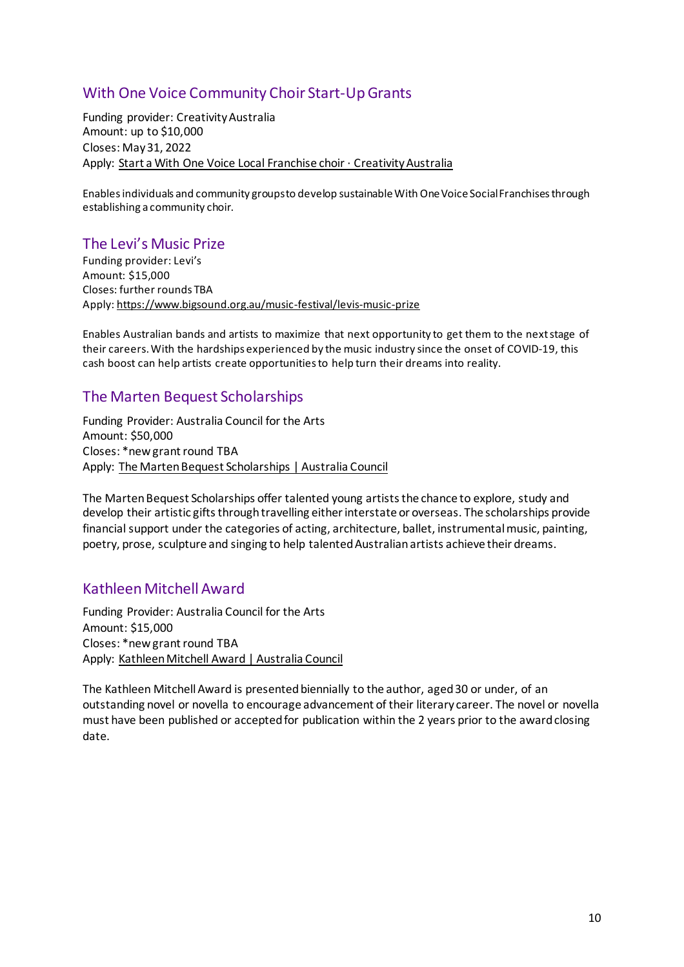# With One Voice Community Choir Start-Up Grants

Funding provider: Creativity Australia Amount: up to \$10,000 Closes: May 31, 2022 Apply: [Start a With One Voice Local Franchise choir · Creativity Australia](https://www.creativityaustralia.org.au/join-a-choir/start/)

Enables individuals and community groups to develop sustainable With One Voice Social Franchises through establishing a community choir.

### <span id="page-9-0"></span>The Levi's Music Prize

Funding provider: Levi's Amount: \$15,000 Closes: further rounds TBA Apply[: https://www.bigsound.org.au/music-festival/levis-music-prize](https://www.bigsound.org.au/music-festival/levis-music-prize)

Enables Australian bands and artists to maximize that next opportunity to get them to the next stage of their careers. With the hardships experienced by the music industry since the onset of COVID-19, this cash boost can help artists create opportunities to help turn their dreams into reality.

# <span id="page-9-1"></span>The Marten Bequest Scholarships

Funding Provider: Australia Council for the Arts Amount: \$50,000 Closes: \*new grant round TBA Apply: [The Marten Bequest Scholarships | Australia Council](https://www.australiacouncil.gov.au/funding/funding-index/the-marten-bequest-scholarships/)

The Marten Bequest Scholarships offer talented young artists the chance to explore, study and develop their artistic gifts through travelling either interstate or overseas. The scholarships provide financial support under the categories of acting, architecture, ballet, instrumental music, painting, poetry, prose, sculpture and singing to help talented Australian artists achieve their dreams.

# <span id="page-9-2"></span>Kathleen Mitchell Award

Funding Provider: Australia Council for the Arts Amount: \$15,000 Closes: \*new grant round TBA Apply: [Kathleen Mitchell Award | Australia Council](https://www.australiacouncil.gov.au/funding/funding-index/kathleen-mitchell-award/)

The Kathleen Mitchell Award is presented biennially to the author, aged 30 or under, of an outstanding novel or novella to encourage advancement of their literary career. The novel or novella must have been published or accepted for publication within the 2 years prior to the award closing date.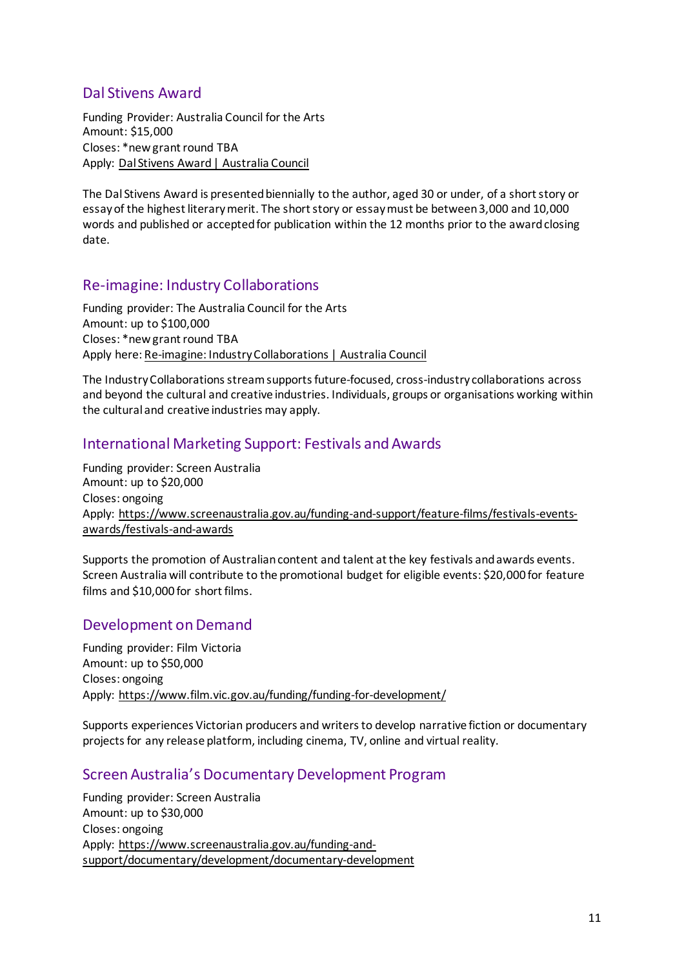# <span id="page-10-0"></span>Dal Stivens Award

Funding Provider: Australia Council for the Arts Amount: \$15,000 Closes: \*new grant round TBA Apply: [Dal Stivens Award | Australia Council](https://www.australiacouncil.gov.au/funding/funding-index/dal-stivens-award/)

The Dal Stivens Award is presented biennially to the author, aged 30 or under, of a short story or essay of the highest literary merit. The short story or essay must be between 3,000 and 10,000 words and published or accepted for publication within the 12 months prior to the award closing date.

### <span id="page-10-1"></span>Re-imagine: Industry Collaborations

Funding provider: The Australia Council for the Arts Amount: up to \$100,000 Closes: \*new grant round TBA Apply here: [Re-imagine: Industry Collaborations | Australia Council](https://www.australiacouncil.gov.au/funding/funding-index/re-imagine-industry-collaborations/)

The Industry Collaborations stream supports future-focused, cross-industry collaborations across and beyond the cultural and creative industries. Individuals, groups or organisations working within the cultural and creative industries may apply.

### <span id="page-10-2"></span>International Marketing Support: Festivals and Awards

Funding provider: Screen Australia Amount: up to \$20,000 Closes: ongoing Apply: [https://www.screenaustralia.gov.au/funding-and-support/feature-films/festivals-events](https://www.screenaustralia.gov.au/funding-and-support/feature-films/festivals-events-awards/festivals-and-awards)[awards/festivals-and-awards](https://www.screenaustralia.gov.au/funding-and-support/feature-films/festivals-events-awards/festivals-and-awards)

Supports the promotion of Australian content and talent at the key festivals and awards events. Screen Australia will contribute to the promotional budget for eligible events: \$20,000 for feature films and \$10,000 for short films.

### <span id="page-10-3"></span>Development on Demand

Funding provider: Film Victoria Amount: up to \$50,000 Closes: ongoing Apply:<https://www.film.vic.gov.au/funding/funding-for-development/>

Supports experiences Victorian producers and writers to develop narrative fiction or documentary projects for any release platform, including cinema, TV, online and virtual reality.

# <span id="page-10-4"></span>Screen Australia's Documentary Development Program

Funding provider: Screen Australia Amount: up to \$30,000 Closes: ongoing Apply: [https://www.screenaustralia.gov.au/funding-and](https://www.screenaustralia.gov.au/funding-and-support/documentary/development/documentary-development)[support/documentary/development/documentary-development](https://www.screenaustralia.gov.au/funding-and-support/documentary/development/documentary-development)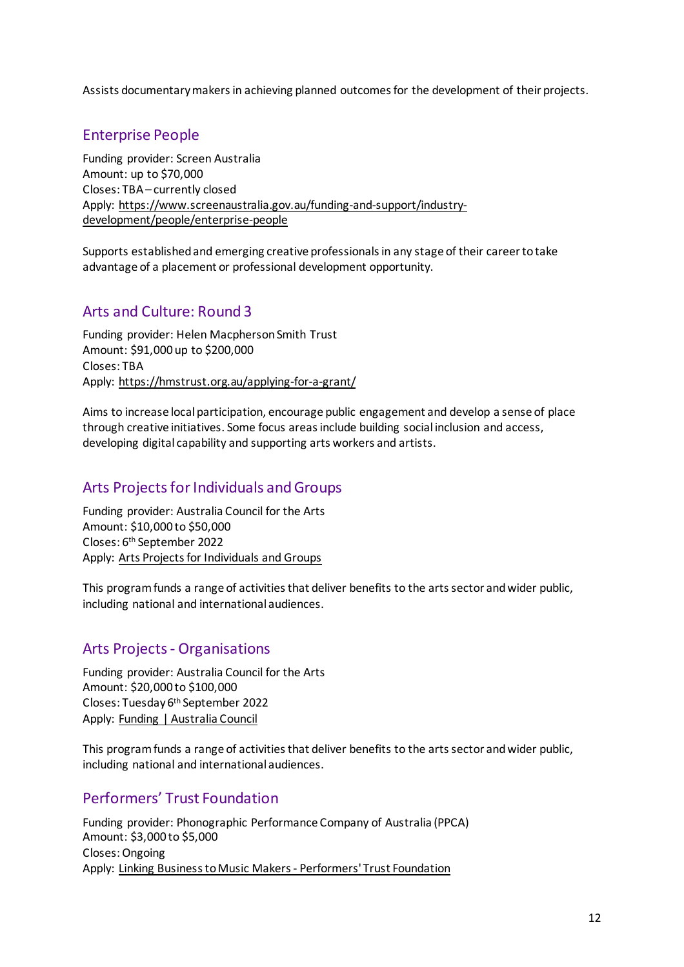Assists documentary makers in achieving planned outcomes for the development of their projects.

# <span id="page-11-0"></span>Enterprise People

Funding provider: Screen Australia Amount: up to \$70,000 Closes: TBA – currently closed Apply: [https://www.screenaustralia.gov.au/funding-and-support/industry](https://www.screenaustralia.gov.au/funding-and-support/industry-development/people/enterprise-people)[development/people/enterprise-people](https://www.screenaustralia.gov.au/funding-and-support/industry-development/people/enterprise-people)

Supports established and emerging creative professionals in any stage of their career to take advantage of a placement or professional development opportunity.

# <span id="page-11-1"></span>Arts and Culture: Round 3

Funding provider: Helen Macpherson Smith Trust Amount: \$91,000 up to \$200,000 Closes: TBA Apply:<https://hmstrust.org.au/applying-for-a-grant/>

Aims to increase local participation, encourage public engagement and develop a sense of place through creative initiatives. Some focus areas include building social inclusion and access, developing digital capability and supporting arts workers and artists.

### <span id="page-11-2"></span>Arts Projects for Individuals and Groups

Funding provider: Australia Council for the Arts Amount: \$10,000 to \$50,000 Closes: 6th September 2022 Apply: [Arts Projects for Individuals and Groups](https://www.australiacouncil.gov.au/funding/funding-index/arts-projects-for-individuals-and-groups/)

This program funds a range of activities that deliver benefits to the arts sector and wider public, including national and international audiences.

### <span id="page-11-3"></span>Arts Projects - Organisations

Funding provider: Australia Council for the Arts Amount: \$20,000 to \$100,000 Closes: Tuesday 6th September 2022 Apply: [Funding | Australia Council](https://www.australiacouncil.gov.au/funding/)

This program funds a range of activities that deliver benefits to the arts sector and wider public, including national and international audiences.

# <span id="page-11-4"></span>Performers' Trust Foundation

Funding provider: Phonographic Performance Company of Australia (PPCA) Amount: \$3,000 to \$5,000 Closes: Ongoing Apply: [Linking Business to Music Makers - Performers' Trust Foundation](http://www.ppca.com.au/ppca-about-us/ppca-performers-trust-foundation/)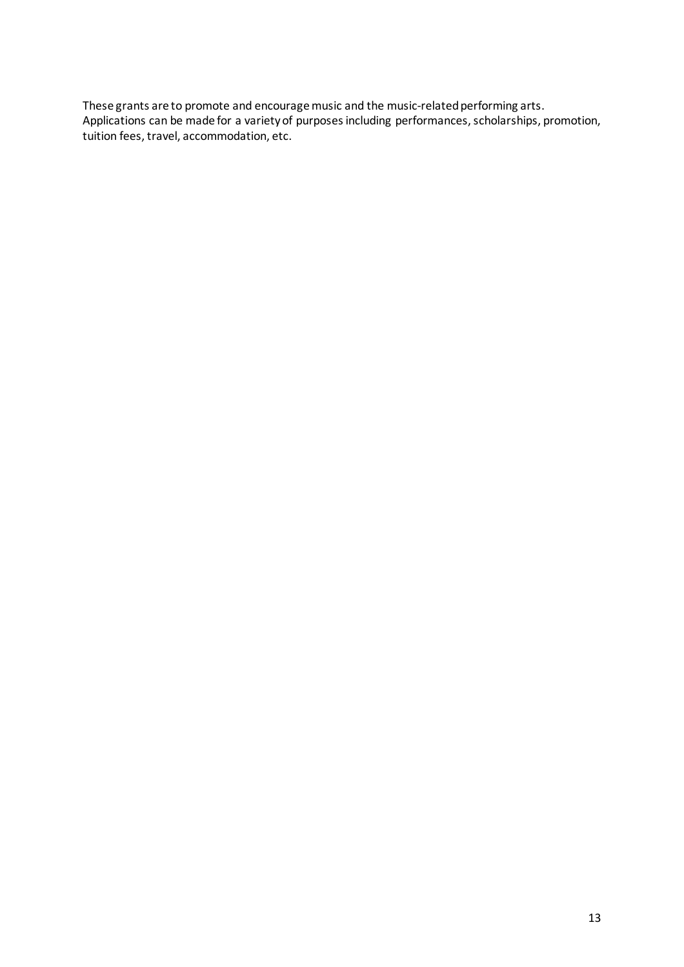These grants are to promote and encourage music and the music-related performing arts. Applications can be made for a variety of purposes including performances, scholarships, promotion, tuition fees, travel, accommodation, etc.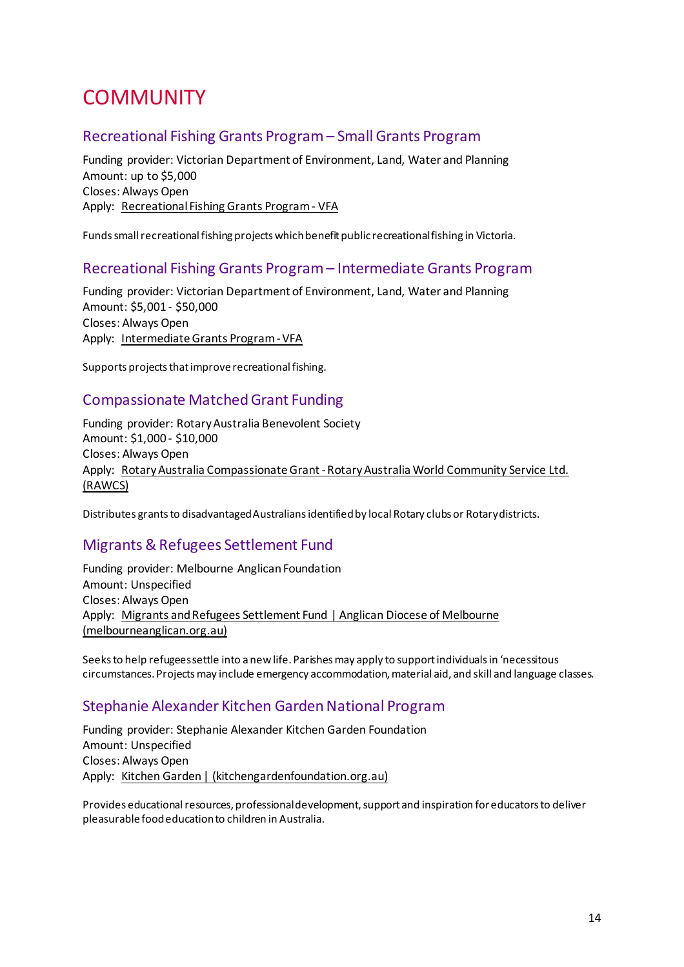# <span id="page-13-0"></span>**COMMUNITY**

### <span id="page-13-1"></span>Recreational Fishing Grants Program – Small Grants Program

Funding provider: Victorian Department of Environment, Land, Water and Planning Amount: up to \$5,000 Closes: Always Open Apply: [Recreational Fishing Grants Program - VFA](https://vfa.vic.gov.au/recreational-fishing/recreational-fishing-grants-program#utm_source=vfa-vic-gov-au&utm_medium=vanity-url-301ssredirect&utm_content=fishinggrants&utm_campaign=recreational-fishing)

Funds small recreational fishing projects which benefit public recreational fishing in Victoria.

#### <span id="page-13-2"></span>Recreational Fishing Grants Program – Intermediate Grants Program

Funding provider: Victorian Department of Environment, Land, Water and Planning Amount: \$5,001 - \$50,000 Closes: Always Open Apply: [Intermediate Grants Program - VFA](https://vfa.vic.gov.au/recreational-fishing/recreational-fishing-grants-program/intermediate-grants-program)

Supports projects that improve recreational fishing.

### <span id="page-13-3"></span>Compassionate Matched Grant Funding

Funding provider: Rotary Australia Benevolent Society Amount: \$1,000 - \$10,000 Closes: Always Open Apply: [Rotary Australia Compassionate Grant - Rotary Australia World Community Service Ltd.](http://rawcs.org.au/projects-2/rotary-australia-benevolent-society/dick-smith-matched-funding-grant/)  [\(RAWCS\)](http://rawcs.org.au/projects-2/rotary-australia-benevolent-society/dick-smith-matched-funding-grant/)

Distributes grants to disadvantaged Australians identified by local Rotary clubs or Rotary districts.

### <span id="page-13-4"></span>Migrants & Refugees Settlement Fund

Funding provider: Melbourne Anglican Foundation Amount: Unspecified Closes: Always Open Apply: [Migrants and Refugees Settlement Fund | Anglican Diocese of Melbourne](https://www.melbourneanglican.org.au/melbourne-anglican-foundation/migrants-and-refugees-settlement-fund/)  [\(melbourneanglican.org.au\)](https://www.melbourneanglican.org.au/melbourne-anglican-foundation/migrants-and-refugees-settlement-fund/)

Seeks to help refugees settle into a new life. Parishes may apply to support individuals in 'necessitous circumstances. Projects may include emergency accommodation, material aid, and skill and language classes.

### <span id="page-13-5"></span>Stephanie Alexander Kitchen Garden National Program

Funding provider: Stephanie Alexander Kitchen Garden Foundation Amount: Unspecified Closes: Always Open Apply: [Kitchen Garden | \(kitchengardenfoundation.org.au\)](https://www.kitchengardenfoundation.org.au/)

Provides educational resources, professional development, support and inspiration for educators to deliver pleasurable food education to children in Australia.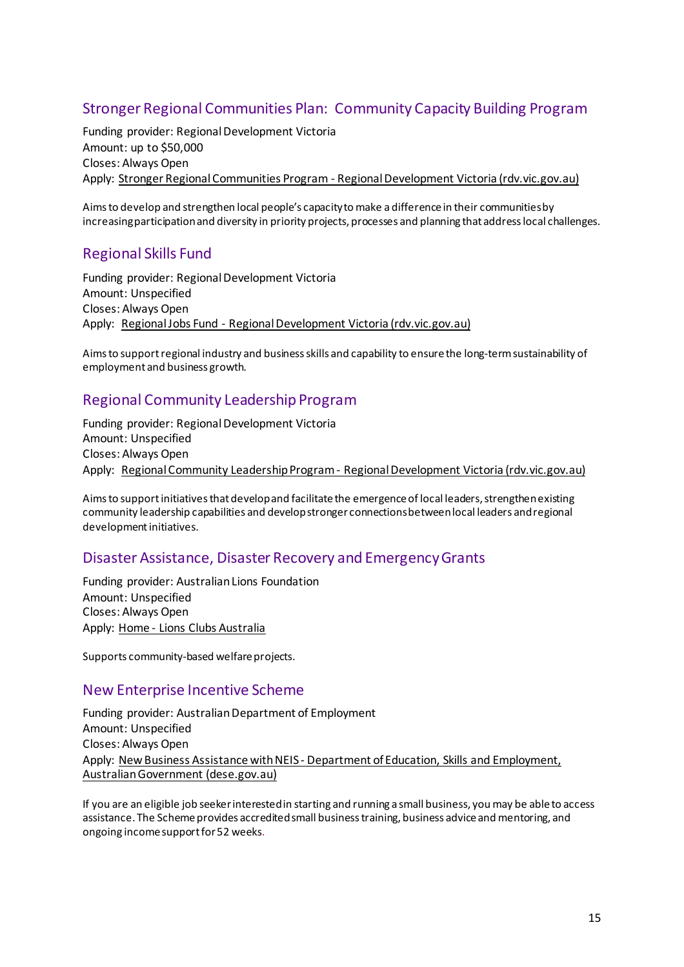# <span id="page-14-0"></span>Stronger Regional Communities Plan: Community Capacity Building Program

Funding provider: Regional Development Victoria Amount: up to \$50,000 Closes: Always Open Apply: [Stronger Regional Communities Program - Regional Development Victoria \(rdv.vic.gov.au\)](https://www.rdv.vic.gov.au/grants-and-programs/stronger-regional-communities-program)

Aims to develop and strengthen local people's capacity to make a difference in their communities by increasing participation and diversity in priority projects, processes and planning that address local challenges.

# <span id="page-14-1"></span>Regional Skills Fund

Funding provider: Regional Development Victoria Amount: Unspecified Closes: Always Open Apply: [Regional Jobs Fund - Regional Development Victoria \(rdv.vic.gov.au\)](https://www.rdv.vic.gov.au/grants-and-programs/regional-jobs-fund)

Aims to support regional industry and business skills and capability to ensure the long-term sustainability of employment and business growth.

# <span id="page-14-2"></span>Regional Community Leadership Program

Funding provider: Regional Development Victoria Amount: Unspecified Closes: Always Open Apply: [Regional Community Leadership Program - Regional Development Victoria](https://www.rdv.vic.gov.au/grants-and-programs/regional-community-leadership-program) (rdv.vic.gov.au)

Aims to support initiatives that develop and facilitate the emergence of local leaders, strengthen existing community leadership capabilities and develop stronger connections between local leaders and regional development initiatives.

### <span id="page-14-3"></span>Disaster Assistance, Disaster Recovery and Emergency Grants

Funding provider: Australian Lions Foundation Amount: Unspecified Closes: Always Open Apply: [Home - Lions Clubs Australia](https://lionsclubs.org.au/)

Supports community-based welfare projects.

#### <span id="page-14-4"></span>New Enterprise Incentive Scheme

Funding provider: Australian Department of Employment Amount: Unspecified Closes: Always Open Apply: [New Business Assistance with NEIS - Department of Education, Skills and Employment,](https://www.dese.gov.au/new-business-assistance-neis)  [Australian Government \(dese.gov.au\)](https://www.dese.gov.au/new-business-assistance-neis)

If you are an eligible job seeker interested in starting and running a small business, you may be able to access assistance. The Scheme provides accredited small business training, business advice and mentoring, and ongoing income support for 52 weeks.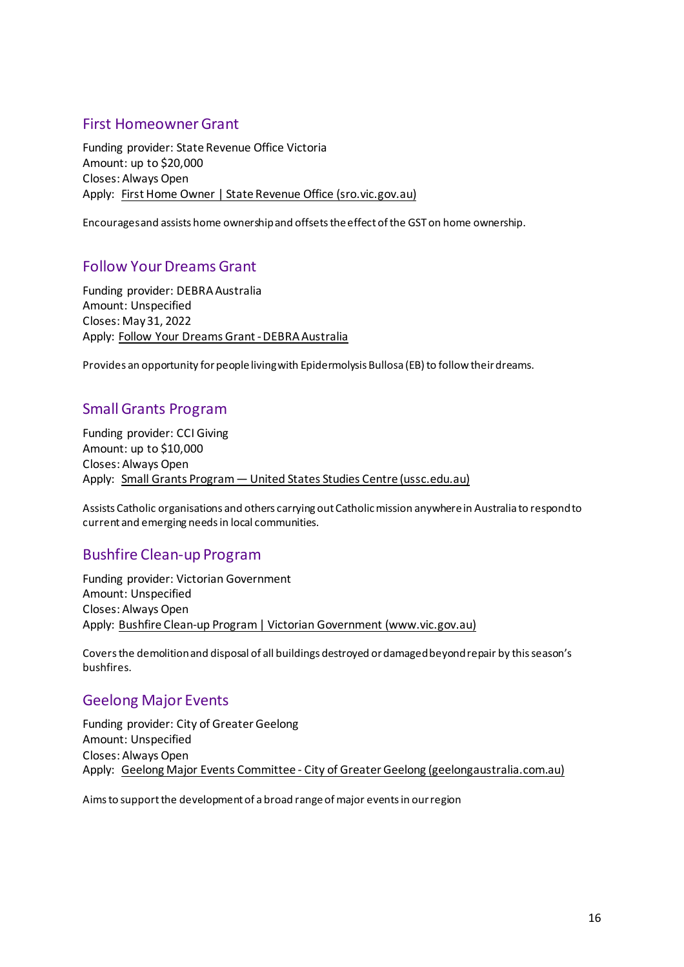### <span id="page-15-0"></span>First Homeowner Grant

Funding provider: State Revenue Office Victoria Amount: up to \$20,000 Closes: Always Open Apply: [First Home Owner | State Revenue Office \(sro.vic.gov.au\)](https://www.sro.vic.gov.au/first-home-owner)

Encourages and assists home ownership and offsets the effect of the GST on home ownership.

### <span id="page-15-1"></span>Follow Your Dreams Grant

Funding provider: DEBRA Australia Amount: Unspecified Closes: May 31, 2022 Apply: [Follow Your Dreams Grant - DEBRA Australia](https://www.debra.org.au/follow-your-dreams/)

Provides an opportunity for people living with Epidermolysis Bullosa (EB) to follow their dreams.

# <span id="page-15-2"></span>Small Grants Program

Funding provider: CCI Giving Amount: up to \$10,000 Closes: Always Open Apply: [Small Grants Program — United States Studies Centre \(ussc.edu.au\)](https://www.ussc.edu.au/research/small-grants-program)

Assists Catholic organisations and others carrying out Catholic mission anywhere in Australia to respond to current and emerging needs in local communities.

# <span id="page-15-3"></span>Bushfire Clean-up Program

Funding provider: Victorian Government Amount: Unspecified Closes: Always Open Apply: Bushfire [Clean-up Program | Victorian Government \(www.vic.gov.au\)](https://www.vic.gov.au/bushfire-clean-up-program)

Covers the demolition and disposal of all buildings destroyed or damaged beyond repair by this season's bushfires.

### <span id="page-15-4"></span>Geelong Major Events

Funding provider: City of Greater Geelong Amount: Unspecified Closes: Always Open Apply: [Geelong Major Events Committee - City of Greater Geelong \(geelongaustralia.com.au\)](https://www.geelongaustralia.com.au/events/gme/article/item/8cb9094b57a01d6.aspx)

Aims to support the development of a broad range of major events in our region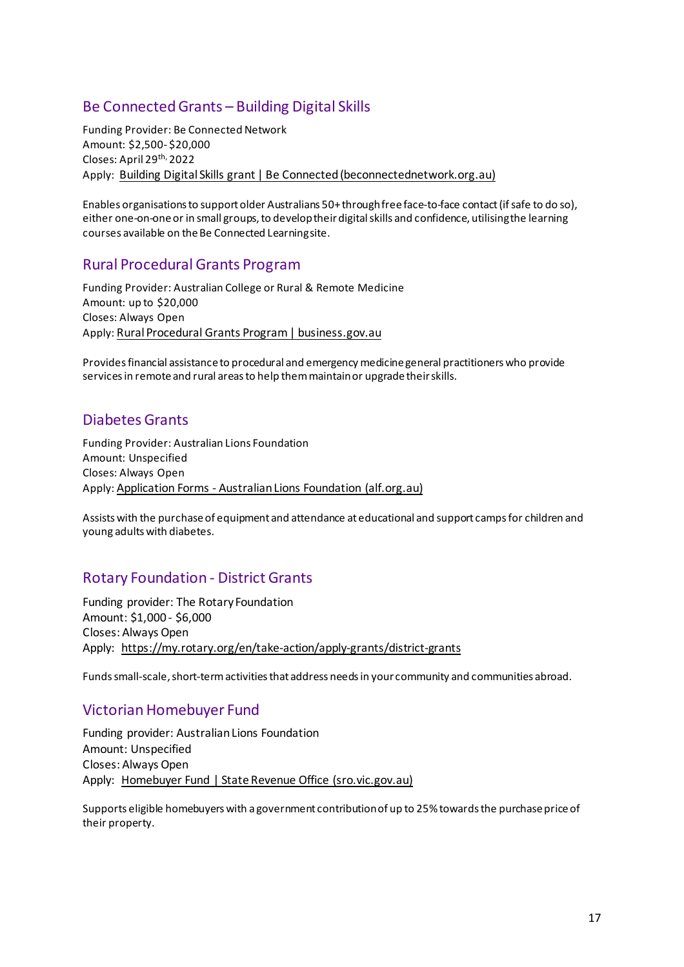# <span id="page-16-0"></span>Be Connected Grants – Building Digital Skills

Funding Provider: Be Connected Network Amount: \$2,500- \$20,000 Closes: April 29th, 2022 Apply: [Building Digital Skills grant | Be Connected \(beconnectednetwork.org.au\)](https://www.beconnectednetwork.org.au/grant-program/building-digital-skills-grants)

Enables organisations to support older Australians 50+ through free face-to-face contact (if safe to do so), either one-on-one or in small groups, to develop their digital skills and confidence, utilising the learning courses available on the Be Connected Learning site.

### <span id="page-16-1"></span>Rural Procedural Grants Program

Funding Provider: Australian College or Rural & Remote Medicine Amount: up to \$20,000 Closes: Always Open Apply[: Rural Procedural Grants Program | business.gov.au](https://business.gov.au/grants-and-programs/Rural-Procedural-Grants-Program)

Provides financial assistance to procedural and emergency medicine general practitioners who provide services in remote and rural areas to help them maintain or upgrade their skills.

### <span id="page-16-2"></span>Diabetes Grants

Funding Provider: Australian Lions Foundation Amount: Unspecified Closes: Always Open Apply[: Application Forms - Australian Lions Foundation \(alf.org.au\)](https://alf.org.au/application-forms/)

Assists with the purchase of equipment and attendance at educational and support camps for children and young adults with diabetes.

# <span id="page-16-3"></span>Rotary Foundation - District Grants

Funding provider: The Rotary Foundation Amount: \$1,000 - \$6,000 Closes: Always Open Apply: <https://my.rotary.org/en/take-action/apply-grants/district-grants>

Funds small-scale, short-term activities that address needs in your community and communities abroad.

### <span id="page-16-4"></span>Victorian Homebuyer Fund

Funding provider: Australian Lions Foundation Amount: Unspecified Closes: Always Open Apply: [Homebuyer Fund | State Revenue Office \(sro.vic.gov.au\)](https://www.sro.vic.gov.au/homebuyer)

Supports eligible homebuyers with a government contribution of up to 25% towards the purchase price of their property.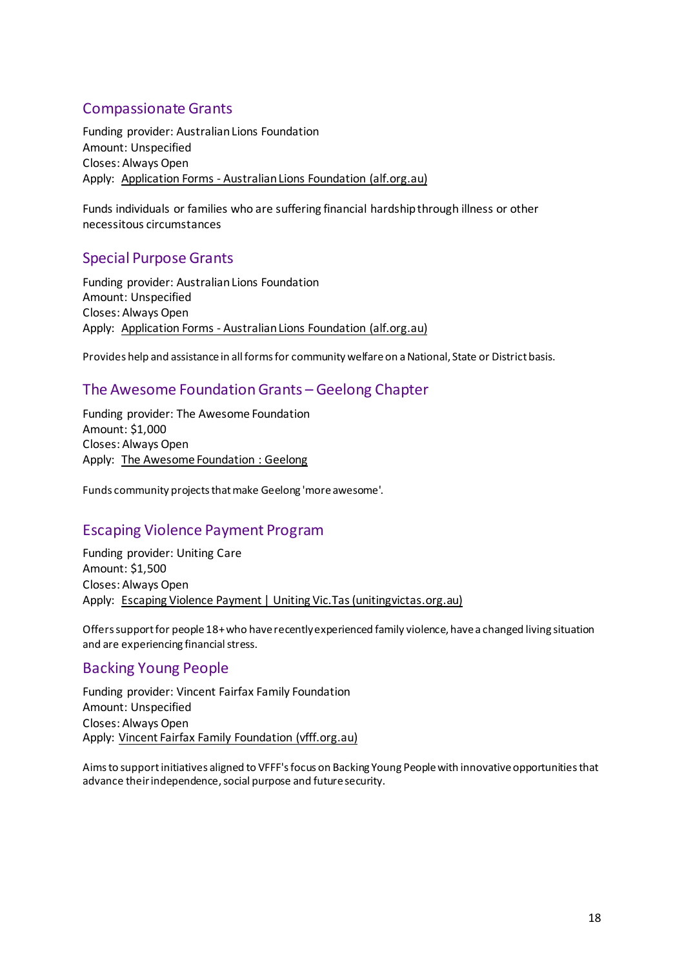# <span id="page-17-0"></span>Compassionate Grants

Funding provider: Australian Lions Foundation Amount: Unspecified Closes: Always Open Apply: [Application Forms - Australian Lions Foundation \(alf.org.au\)](https://alf.org.au/application-forms/)

Funds individuals or families who are suffering financial hardship through illness or other necessitous circumstances

### <span id="page-17-1"></span>Special Purpose Grants

Funding provider: Australian Lions Foundation Amount: Unspecified Closes: Always Open Apply: [Application Forms - Australian Lions Foundation \(alf.org.au\)](https://alf.org.au/application-forms/)

Provides help and assistance in all forms for community welfare on a National, State or District basis.

### <span id="page-17-2"></span>The Awesome Foundation Grants – Geelong Chapter

Funding provider: The Awesome Foundation Amount: \$1,000 Closes: Always Open Apply: [The Awesome Foundation : Geelong](https://www.awesomefoundation.org/en/chapters/geelong)

<span id="page-17-3"></span>Funds community projects that make Geelong 'more awesome'.

### <span id="page-17-4"></span>Escaping Violence Payment Program

Funding provider: Uniting Care Amount: \$1,500 Closes: Always Open Apply: Escaping Violence Payment [| Uniting Vic.Tas \(unitingvictas.org.au\)](https://www.unitingvictas.org.au/services/family-services/family-violence-services/escaping-violence-payment/)

<span id="page-17-5"></span>Offers support for people 18+ who have recently experienced family violence, have a changed living situation and are experiencing financial stress.

### <span id="page-17-6"></span>Backing Young People

Funding provider: Vincent Fairfax Family Foundation Amount: Unspecified Closes: Always Open Apply: [Vincent Fairfax Family Foundation \(vfff.org.au\)](https://vfff.org.au/)

Aims to support initiatives aligned to VFFF's focus on Backing Young People with innovative opportunities that advance their independence, social purpose and future security.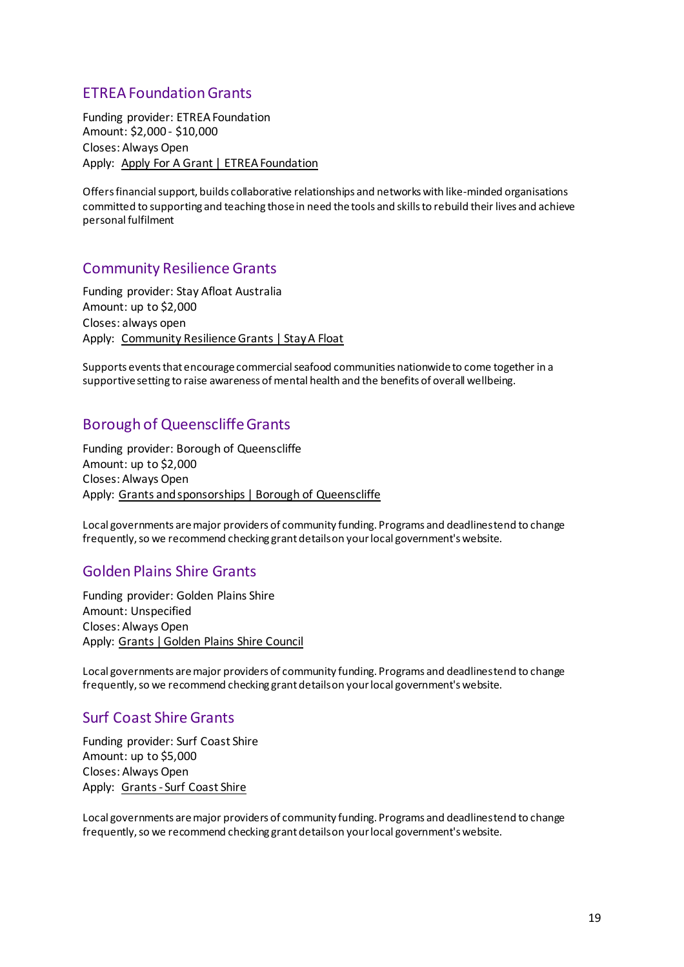# <span id="page-18-0"></span>ETREA Foundation Grants

Funding provider: ETREA Foundation Amount: \$2,000 - \$10,000 Closes: Always Open Apply: [Apply For A Grant | ETREA Foundation](https://www.etrea.com.au/apply-for-a-grant/)

Offers financial support, builds collaborative relationships and networks with like-minded organisations committed to supporting and teaching those in need the tools and skills to rebuild their lives and achieve personal fulfilment

### <span id="page-18-1"></span>Community Resilience Grants

Funding provider: Stay Afloat Australia Amount: up to \$2,000 Closes: always open Apply: [Community Resilience Grants | Stay A Float](https://www.stayafloat.com.au/grants/)

Supports events that encourage commercial seafood communities nationwide to come together in a supportive setting to raise awareness of mental health and the benefits of overall wellbeing.

### <span id="page-18-2"></span>Borough of Queenscliffe Grants

Funding provider: Borough of Queenscliffe Amount: up to \$2,000 Closes: Always Open Apply: [Grants and sponsorships | Borough of Queenscliffe](https://www.queenscliffe.vic.gov.au/Your-Council/Grants-and-sponsorships)

Local governments are major providers of community funding. Programs and deadlines tend to change frequently, so we recommend checking grant details on your local government's website.

### <span id="page-18-3"></span>Golden Plains Shire Grants

Funding provider: Golden Plains Shire Amount: Unspecified Closes: Always Open Apply: [Grants | Golden Plains Shire Council](https://www.goldenplains.vic.gov.au/community/grants)

Local governments are major providers of community funding. Programs and deadlines tend to change frequently, so we recommend checking grant details on your local government's website.

### <span id="page-18-4"></span>Surf Coast Shire Grants

Funding provider: Surf Coast Shire Amount: up to \$5,000 Closes: Always Open Apply: [Grants - Surf Coast Shire](https://www.surfcoast.vic.gov.au/Community/Grants)

Local governments are major providers of community funding. Programs and deadlines tend to change frequently, so we recommend checking grant details on your local government's website.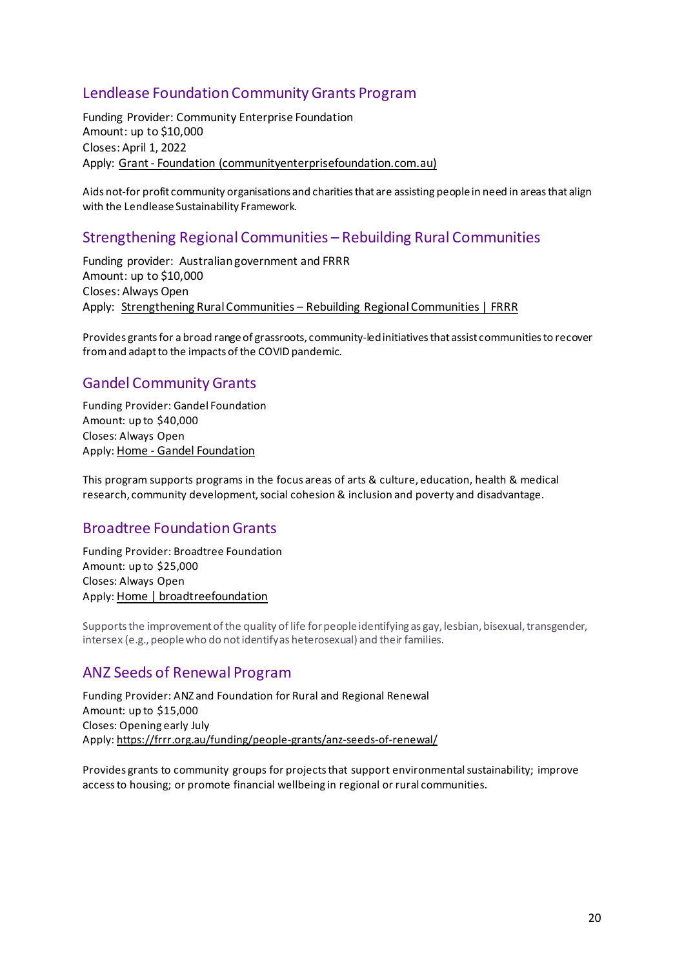# <span id="page-19-0"></span>Lendlease Foundation Community Grants Program

Funding Provider: Community Enterprise Foundation Amount: up to \$10,000 Closes: April 1, 2022 Apply: [Grant - Foundation \(communityenterprisefoundation.com.au\)](https://cia.communityenterprisefoundation.com.au/Program/Index/1?_gl=1*15jn2le*_ga*MTgwMTAzODEyMi4xNjQ2MTc0ODc5*_ga_8G245KPFM1*MTY0NjE3NDg3OC4xLjAuMTY0NjE3NDg4OS40OQ..)

Aids not-for profit community organisations and charities that are assisting people in need in areas that align with the Lendlease Sustainability Framework.

### <span id="page-19-1"></span>Strengthening Regional Communities – Rebuilding Rural Communities

Funding provider: Australian government and FRRR Amount: up to \$10,000 Closes: Always Open Apply: [Strengthening Rural Communities – Rebuilding Regional Communities | FRRR](https://frrr.org.au/funding/place/src-rebuilding-regional-communities/)

Provides grants for a broad range of grassroots, community-led initiatives that assist communities to recover from and adapt to the impacts of the COVID pandemic.

### <span id="page-19-2"></span>Gandel Community Grants

Funding Provider: Gandel Foundation Amount: up to \$40,000 Closes: Always Open Apply[: Home - Gandel Foundation](https://gandelfoundation.org.au/)

This program supports programs in the focus areas of arts & culture, education, health & medical research, community development, social cohesion & inclusion and poverty and disadvantage.

#### <span id="page-19-3"></span>Broadtree Foundation Grants

Funding Provider: Broadtree Foundation Amount: up to \$25,000 Closes: Always Open Apply[: Home | broadtreefoundation](https://www.broadtreefoundation.org/)

Supports the improvement of the quality of life for people identifying as gay, lesbian, bisexual, transgender, intersex (e.g., people who do not identify as heterosexual) and their families.

### <span id="page-19-4"></span>ANZ Seeds of Renewal Program

Funding Provider: ANZ and Foundation for Rural and Regional Renewal Amount: up to \$15,000 Closes: Opening early July Apply[: https://frrr.org.au/funding/people-grants/anz-seeds-of-renewal/](https://frrr.org.au/funding/people-grants/anz-seeds-of-renewal/)

Provides grants to community groups for projects that support environmental sustainability; improve access to housing; or promote financial wellbeing in regional or rural communities.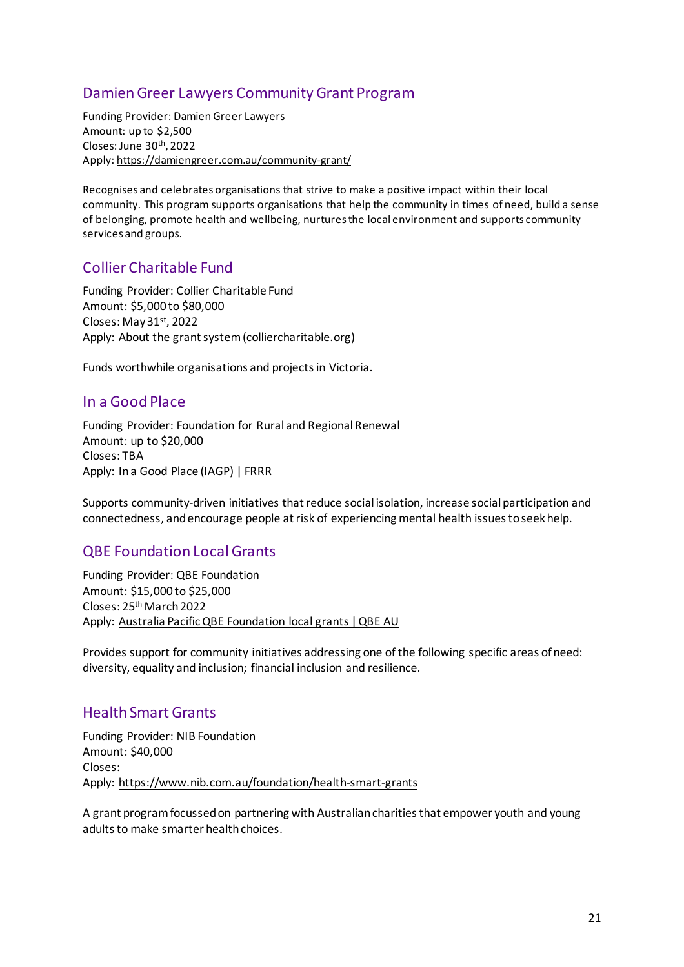# <span id="page-20-0"></span>Damien Greer Lawyers Community Grant Program

Funding Provider: Damien Greer Lawyers Amount: up to \$2,500 Closes: June 30th, 2022 Apply[: https://damiengreer.com.au/community-grant/](https://damiengreer.com.au/community-grant/)

Recognises and celebrates organisations that strive to make a positive impact within their local community. This program supports organisations that help the community in times of need, build a sense of belonging, promote health and wellbeing, nurtures the local environment and supports community services and groups.

# <span id="page-20-1"></span>Collier Charitable Fund

Funding Provider: Collier Charitable Fund Amount: \$5,000 to \$80,000 Closes: May 31st, 2022 Apply: [About the grant system \(colliercharitable.org\)](https://www.colliercharitable.org/CCFWebsite/Grants/About_the_grant_system/CCFWebsite/Grant_Application/About_the_grant_system.aspx?hkey=a0181991-cd6e-44ca-879d-044f4e513b16)

Funds worthwhile organisations and projects in Victoria.

### <span id="page-20-2"></span>In a Good Place

Funding Provider: Foundation for Rural and Regional Renewal Amount: up to \$20,000 Closes: TBA Apply: [In a Good Place \(IAGP\) | FRRR](https://frrr.org.au/funding/place/in-a-good-place/)

Supports community-driven initiatives that reduce social isolation, increase social participation and connectedness, and encourage people at risk of experiencing mental health issues to seek help.

# <span id="page-20-3"></span>QBE Foundation Local Grants

Funding Provider: QBE Foundation Amount: \$15,000 to \$25,000 Closes: 25<sup>th</sup> March 2022 Apply: [Australia Pacific QBE Foundation local grants | QBE AU](https://www.qbe.com/au/about/sponsorship-community/the-qbe-foundation/local-grants)

Provides support for community initiatives addressing one of the following specific areas of need: diversity, equality and inclusion; financial inclusion and resilience.

# <span id="page-20-4"></span>Health Smart Grants

Funding Provider: NIB Foundation Amount: \$40,000 Closes: Apply:<https://www.nib.com.au/foundation/health-smart-grants>

A grant program focussed on partnering with Australian charities that empower youth and young adults to make smarter health choices.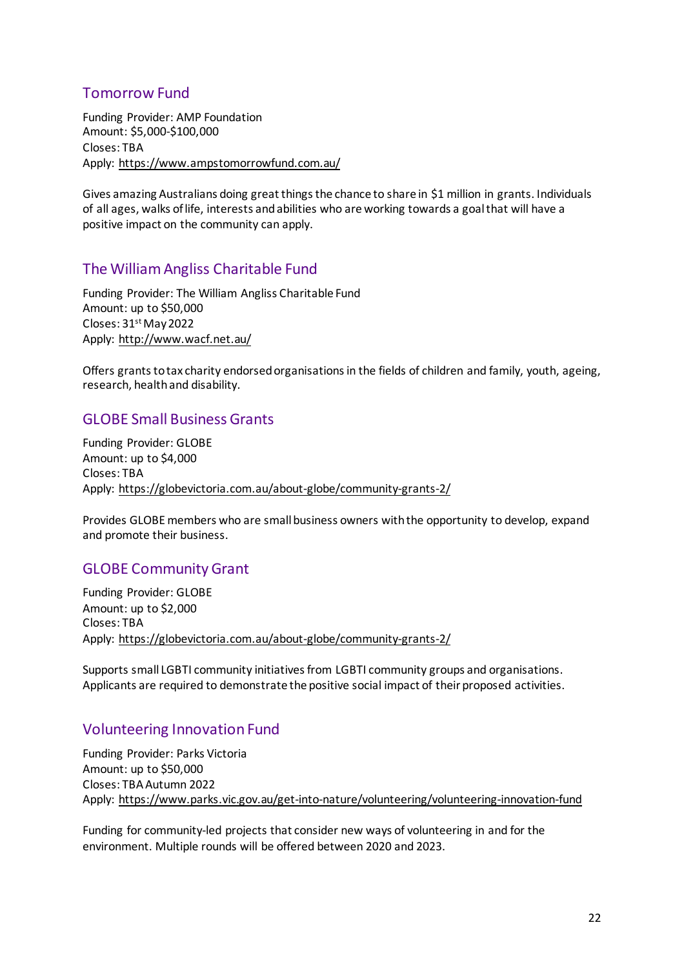# <span id="page-21-0"></span>Tomorrow Fund

Funding Provider: AMP Foundation Amount: \$5,000-\$100,000 Closes: TBA Apply:<https://www.ampstomorrowfund.com.au/>

Gives amazing Australians doing great things the chance to share in \$1 million in grants. Individuals of all ages, walks of life, interests and abilities who are working towards a goal that will have a positive impact on the community can apply.

### <span id="page-21-1"></span>The William Angliss Charitable Fund

Funding Provider: The William Angliss Charitable Fund Amount: up to \$50,000 Closes: 31<sup>st</sup> May 2022 Apply:<http://www.wacf.net.au/>

Offers grants to tax charity endorsed organisations in the fields of children and family, youth, ageing, research, health and disability.

### <span id="page-21-2"></span>GLOBE Small Business Grants

Funding Provider: GLOBE Amount: up to \$4,000 Closes: TBA Apply:<https://globevictoria.com.au/about-globe/community-grants-2/>

Provides GLOBE members who are small business owners with the opportunity to develop, expand and promote their business.

# <span id="page-21-3"></span>GLOBE Community Grant

Funding Provider: GLOBE Amount: up to \$2,000 Closes: TBA Apply:<https://globevictoria.com.au/about-globe/community-grants-2/>

Supports small LGBTI community initiatives from LGBTI community groups and organisations. Applicants are required to demonstrate the positive social impact of their proposed activities.

# <span id="page-21-4"></span>Volunteering Innovation Fund

Funding Provider: Parks Victoria Amount: up to \$50,000 Closes: TBA Autumn 2022 Apply:<https://www.parks.vic.gov.au/get-into-nature/volunteering/volunteering-innovation-fund>

Funding for community-led projects that consider new ways of volunteering in and for the environment. Multiple rounds will be offered between 2020 and 2023.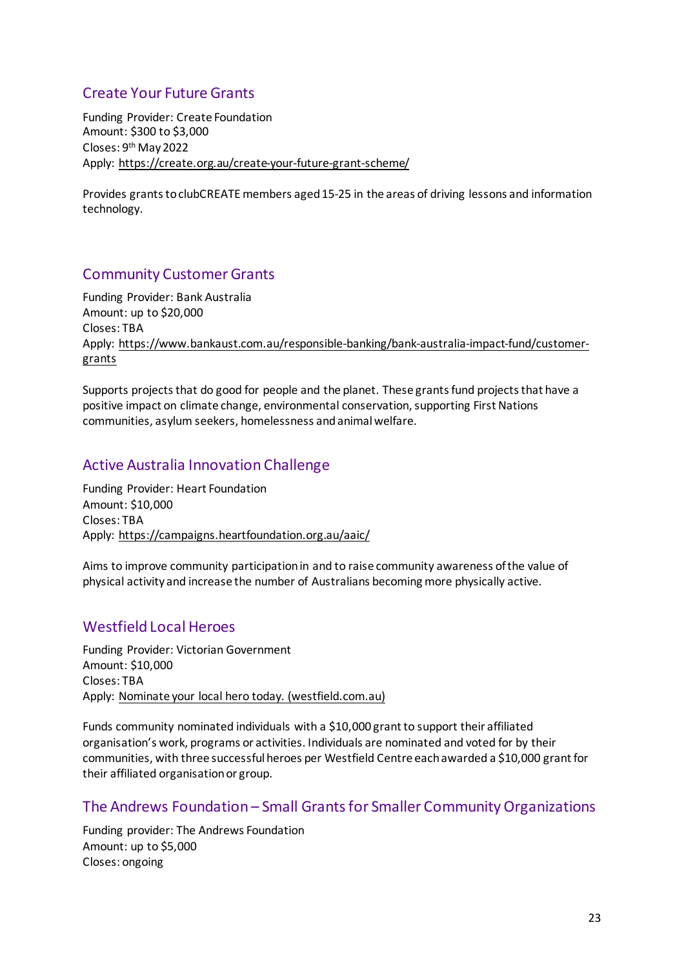# <span id="page-22-0"></span>Create Your Future Grants

Funding Provider: Create Foundation Amount: \$300 to \$3,000 Closes: 9th May2022 Apply:<https://create.org.au/create-your-future-grant-scheme/>

Provides grants to clubCREATE members aged 15-25 in the areas of driving lessons and information technology.

# <span id="page-22-1"></span>Community Customer Grants

Funding Provider: Bank Australia Amount: up to \$20,000 Closes: TBA Apply: [https://www.bankaust.com.au/responsible-banking/bank-australia-impact-fund/customer](https://www.bankaust.com.au/responsible-banking/bank-australia-impact-fund/customer-grants)[grants](https://www.bankaust.com.au/responsible-banking/bank-australia-impact-fund/customer-grants)

Supports projects that do good for people and the planet. These grants fund projects that have a positive impact on climate change, environmental conservation, supporting First Nations communities, asylum seekers, homelessness and animal welfare.

### <span id="page-22-2"></span>Active Australia Innovation Challenge

Funding Provider: Heart Foundation Amount: \$10,000 Closes: TBA Apply:<https://campaigns.heartfoundation.org.au/aaic/>

Aims to improve community participation in and to raise community awareness of the value of physical activity and increase the number of Australians becoming more physically active.

### <span id="page-22-3"></span>Westfield Local Heroes

Funding Provider: Victorian Government Amount: \$10,000 Closes: TBA Apply: [Nominate your local hero today. \(westfield.com.au\)](https://www.westfield.com.au/local-heroes)

Funds community nominated individuals with a \$10,000 grant to support their affiliated organisation's work, programs or activities. Individuals are nominated and voted for by their communities, with three successful heroes per Westfield Centre each awarded a \$10,000 grant for their affiliated organisation or group.

#### <span id="page-22-4"></span>The Andrews Foundation – Small Grants for Smaller Community Organizations

Funding provider: The Andrews Foundation Amount: up to \$5,000 Closes: ongoing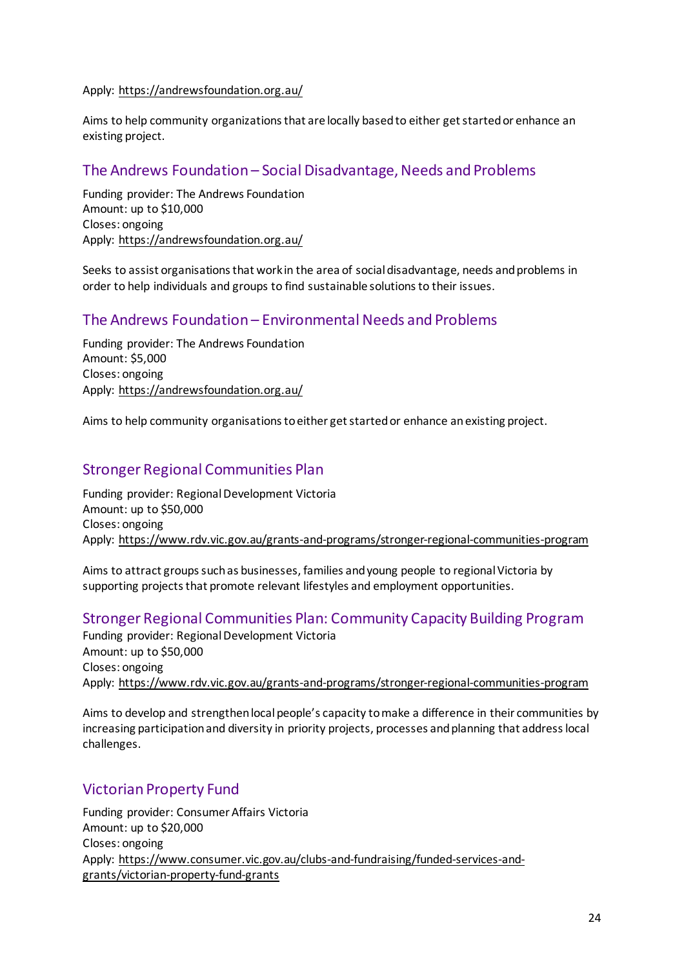#### Apply:<https://andrewsfoundation.org.au/>

Aims to help community organizations that are locally based to either get started or enhance an existing project.

### <span id="page-23-0"></span>The Andrews Foundation – Social Disadvantage, Needs and Problems

Funding provider: The Andrews Foundation Amount: up to \$10,000 Closes: ongoing Apply:<https://andrewsfoundation.org.au/>

Seeks to assist organisations that work in the area of social disadvantage, needs and problems in order to help individuals and groups to find sustainable solutions to their issues.

### <span id="page-23-1"></span>The Andrews Foundation – Environmental Needs and Problems

Funding provider: The Andrews Foundation Amount: \$5,000 Closes: ongoing Apply:<https://andrewsfoundation.org.au/>

Aims to help community organisations to either get started or enhance an existing project.

### <span id="page-23-2"></span>Stronger Regional Communities Plan

Funding provider: Regional Development Victoria Amount: up to \$50,000 Closes: ongoing Apply:<https://www.rdv.vic.gov.au/grants-and-programs/stronger-regional-communities-program>

Aims to attract groups such as businesses, families and young people to regional Victoria by supporting projects that promote relevant lifestyles and employment opportunities.

#### <span id="page-23-3"></span>Stronger Regional Communities Plan: Community Capacity Building Program

Funding provider: Regional Development Victoria Amount: up to \$50,000 Closes: ongoing Apply:<https://www.rdv.vic.gov.au/grants-and-programs/stronger-regional-communities-program>

Aims to develop and strengthen local people's capacity to make a difference in their communities by increasing participation and diversity in priority projects, processes and planning that address local challenges.

### <span id="page-23-4"></span>Victorian Property Fund

Funding provider: Consumer Affairs Victoria Amount: up to \$20,000 Closes: ongoing Apply: [https://www.consumer.vic.gov.au/clubs-and-fundraising/funded-services-and](https://www.consumer.vic.gov.au/clubs-and-fundraising/funded-services-and-grants/victorian-property-fund-grants)[grants/victorian-property-fund-grants](https://www.consumer.vic.gov.au/clubs-and-fundraising/funded-services-and-grants/victorian-property-fund-grants)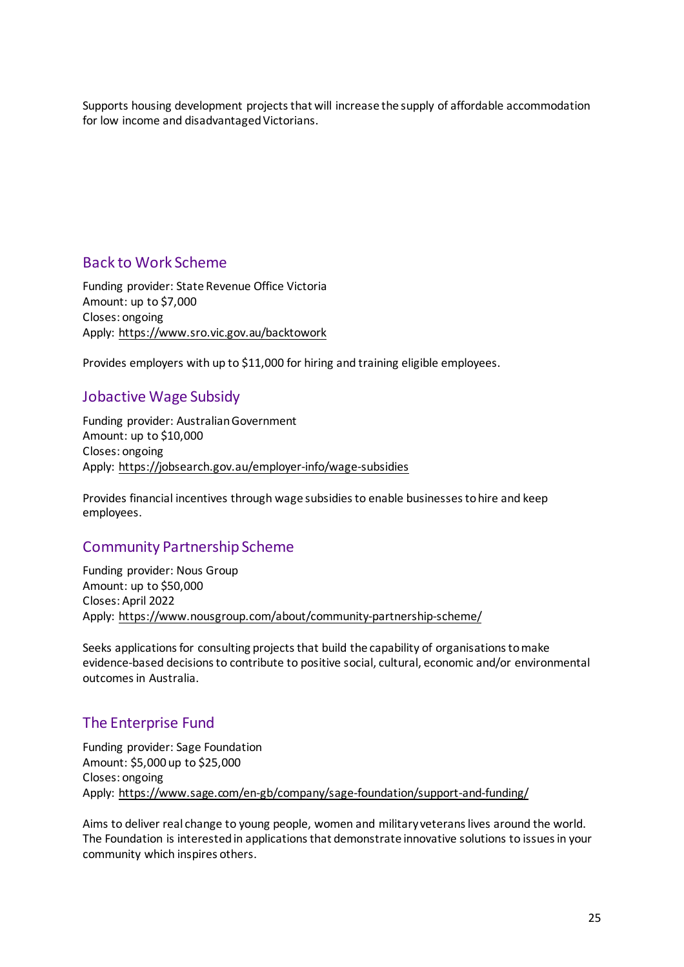Supports housing development projects that will increase the supply of affordable accommodation for low income and disadvantaged Victorians.

### <span id="page-24-0"></span>Back to Work Scheme

Funding provider: State Revenue Office Victoria Amount: up to \$7,000 Closes: ongoing Apply:<https://www.sro.vic.gov.au/backtowork>

Provides employers with up to \$11,000 for hiring and training eligible employees.

### <span id="page-24-1"></span>Jobactive Wage Subsidy

Funding provider: Australian Government Amount: up to \$10,000 Closes: ongoing Apply:<https://jobsearch.gov.au/employer-info/wage-subsidies>

Provides financial incentives through wage subsidies to enable businesses to hire and keep employees.

# <span id="page-24-2"></span>Community Partnership Scheme

Funding provider: Nous Group Amount: up to \$50,000 Closes: April 2022 Apply:<https://www.nousgroup.com/about/community-partnership-scheme/>

Seeks applications for consulting projects that build the capability of organisations to make evidence-based decisions to contribute to positive social, cultural, economic and/or environmental outcomes in Australia.

### <span id="page-24-3"></span>The Enterprise Fund

Funding provider: Sage Foundation Amount: \$5,000 up to \$25,000 Closes: ongoing Apply:<https://www.sage.com/en-gb/company/sage-foundation/support-and-funding/>

Aims to deliver real change to young people, women and military veterans lives around the world. The Foundation is interested in applications that demonstrate innovative solutions to issues in your community which inspires others.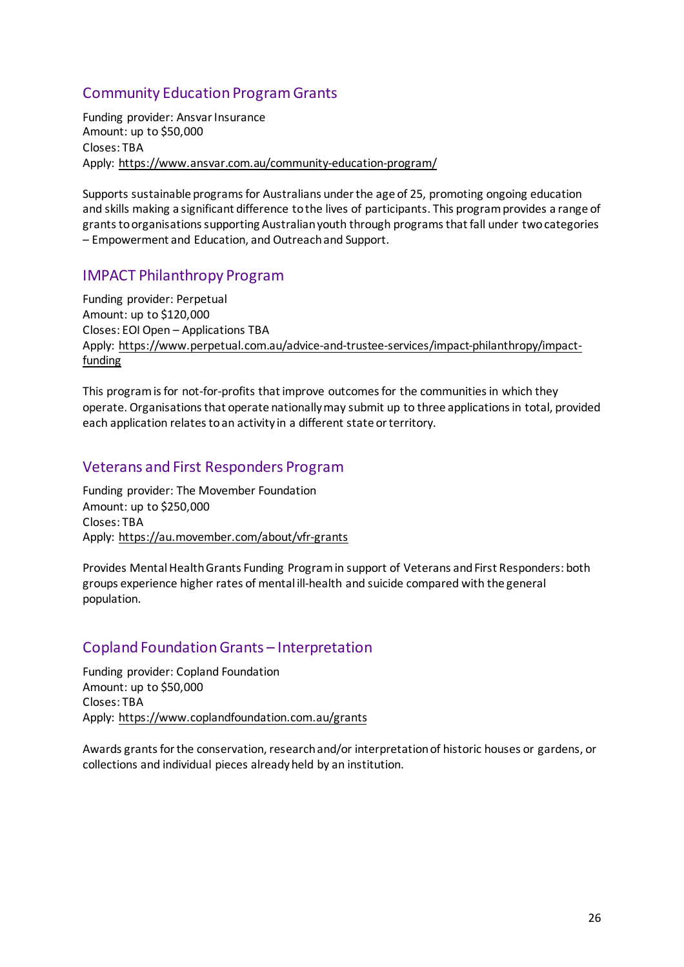# <span id="page-25-0"></span>Community Education Program Grants

Funding provider: Ansvar Insurance Amount: up to \$50,000 Closes: TBA Apply:<https://www.ansvar.com.au/community-education-program/>

Supports sustainable programs for Australians under the age of 25, promoting ongoing education and skills making a significant difference to the lives of participants. This program provides a range of grants to organisations supporting Australian youth through programs that fall under two categories – Empowerment and Education, and Outreach and Support.

### <span id="page-25-1"></span>IMPACT Philanthropy Program

Funding provider: Perpetual Amount: up to \$120,000 Closes: EOI Open – Applications TBA Apply: [https://www.perpetual.com.au/advice-and-trustee-services/impact-philanthropy/impact](https://www.perpetual.com.au/advice-and-trustee-services/impact-philanthropy/impact-funding)[funding](https://www.perpetual.com.au/advice-and-trustee-services/impact-philanthropy/impact-funding)

This program is for not-for-profits that improve outcomes for the communities in which they operate. Organisations that operate nationally may submit up to three applications in total, provided each application relates to an activity in a different state or territory.

### <span id="page-25-2"></span>Veterans and First Responders Program

Funding provider: The Movember Foundation Amount: up to \$250,000 Closes: TBA Apply:<https://au.movember.com/about/vfr-grants>

Provides Mental Health Grants Funding Program in support of Veterans and First Responders: both groups experience higher rates of mental ill-health and suicide compared with the general population.

# <span id="page-25-3"></span>Copland Foundation Grants – Interpretation

Funding provider: Copland Foundation Amount: up to \$50,000 Closes: TBA Apply:<https://www.coplandfoundation.com.au/grants>

Awards grants for the conservation, research and/or interpretation of historic houses or gardens, or collections and individual pieces already held by an institution.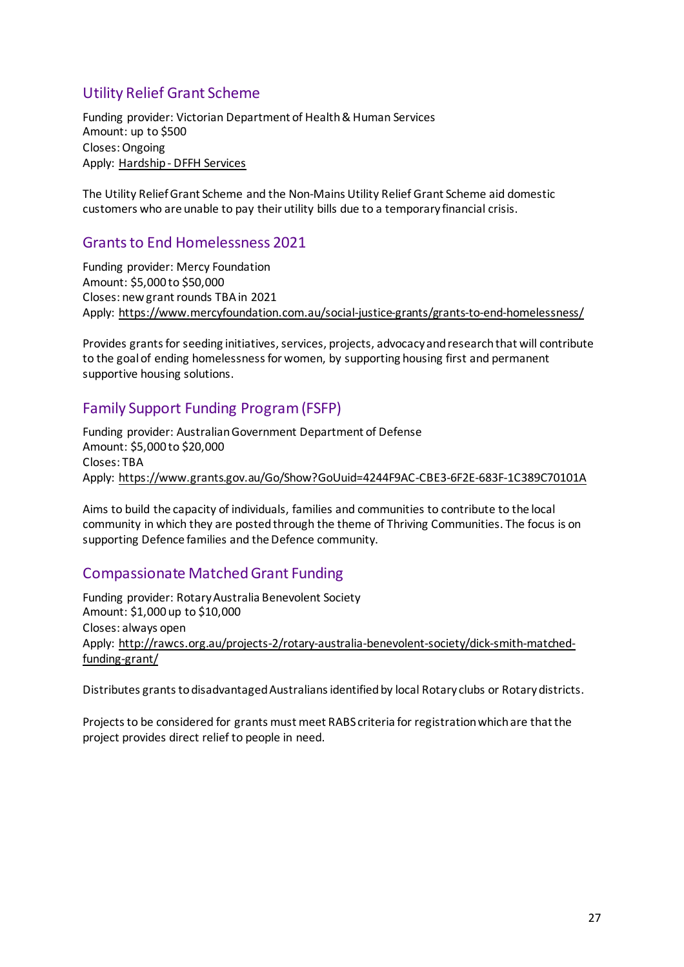# <span id="page-26-0"></span>Utility Relief Grant Scheme

Funding provider: Victorian Department of Health & Human Services Amount: up to \$500 Closes: Ongoing Apply: [Hardship - DFFH Services](https://services.dffh.vic.gov.au/hardship)

The Utility Relief Grant Scheme and the Non-Mains Utility Relief Grant Scheme aid domestic customers who are unable to pay their utility bills due to a temporary financial crisis.

### <span id="page-26-1"></span>Grants to End Homelessness 2021

Funding provider: Mercy Foundation Amount: \$5,000 to \$50,000 Closes: new grant rounds TBA in 2021 Apply:<https://www.mercyfoundation.com.au/social-justice-grants/grants-to-end-homelessness/>

Provides grants for seeding initiatives, services, projects, advocacy and research that will contribute to the goal of ending homelessness for women, by supporting housing first and permanent supportive housing solutions.

# <span id="page-26-2"></span>Family Support Funding Program (FSFP)

Funding provider: Australian Government Department of Defense Amount: \$5,000 to \$20,000 Closes: TBA Apply:<https://www.grants.gov.au/Go/Show?GoUuid=4244F9AC-CBE3-6F2E-683F-1C389C70101A>

Aims to build the capacity of individuals, families and communities to contribute to the local community in which they are posted through the theme of Thriving Communities. The focus is on supporting Defence families and the Defence community.

# <span id="page-26-3"></span>Compassionate Matched Grant Funding

Funding provider: Rotary Australia Benevolent Society Amount: \$1,000 up to \$10,000 Closes: always open Apply: [http://rawcs.org.au/projects-2/rotary-australia-benevolent-society/dick-smith-matched](http://rawcs.org.au/projects-2/rotary-australia-benevolent-society/dick-smith-matched-funding-grant/)[funding-grant/](http://rawcs.org.au/projects-2/rotary-australia-benevolent-society/dick-smith-matched-funding-grant/)

Distributes grants to disadvantaged Australians identified by local Rotary clubs or Rotary districts.

<span id="page-26-4"></span>Projects to be considered for grants must meet RABS criteria for registration which are that the project provides direct relief to people in need.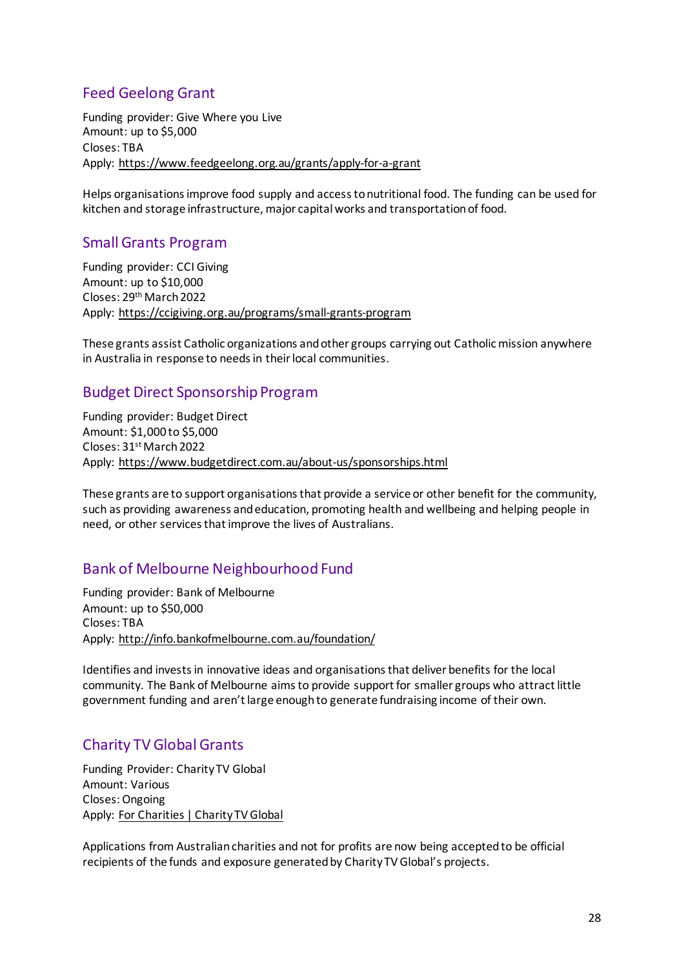### Feed Geelong Grant

Funding provider: Give Where you Live Amount: up to \$5,000 Closes: TBA Apply:<https://www.feedgeelong.org.au/grants/apply-for-a-grant>

Helps organisations improve food supply and access to nutritional food. The funding can be used for kitchen and storage infrastructure, major capital works and transportation of food.

### <span id="page-27-0"></span>Small Grants Program

Funding provider: CCI Giving Amount: up to \$10,000 Closes: 29<sup>th</sup> March 2022 Apply:<https://ccigiving.org.au/programs/small-grants-program>

These grants assist Catholic organizations and other groups carrying out Catholic mission anywhere in Australia in response to needs in their local communities.

# <span id="page-27-1"></span>Budget Direct Sponsorship Program

Funding provider: Budget Direct Amount: \$1,000 to \$5,000 Closes: 31<sup>st</sup> March 2022 Apply:<https://www.budgetdirect.com.au/about-us/sponsorships.html>

These grants are to support organisations that provide a service or other benefit for the community, such as providing awareness and education, promoting health and wellbeing and helping people in need, or other services that improve the lives of Australians.

### <span id="page-27-2"></span>Bank of Melbourne Neighbourhood Fund

Funding provider: Bank of Melbourne Amount: up to \$50,000 Closes: TBA Apply:<http://info.bankofmelbourne.com.au/foundation/>

Identifies and invests in innovative ideas and organisations that deliver benefits for the local community. The Bank of Melbourne aims to provide support for smaller groups who attract little government funding and aren't large enough to generate fundraising income of their own.

# <span id="page-27-3"></span>Charity TV Global Grants

Funding Provider: Charity TV Global Amount: Various Closes: Ongoing Apply: [For Charities | Charity TV Global](https://www.charitytvglobal.com/for-charities/)

Applications from Australian charities and not for profits are now being accepted to be official recipients of the funds and exposure generated by Charity TV Global's projects.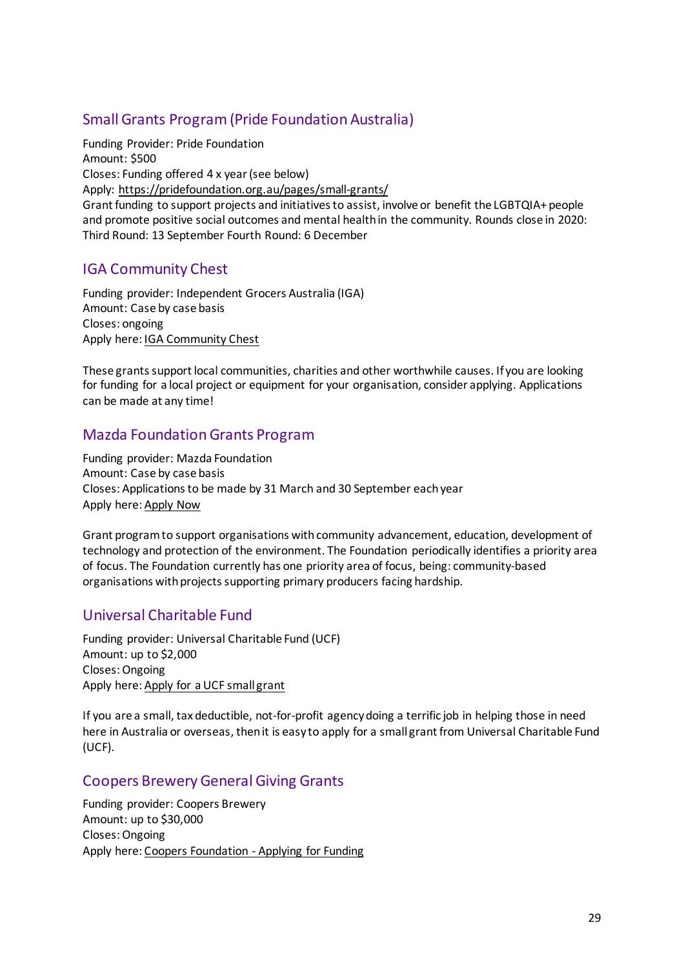# <span id="page-28-0"></span>Small Grants Program (Pride Foundation Australia)

Funding Provider: Pride Foundation Amount: \$500 Closes: Funding offered 4 x year (see below) Apply:<https://pridefoundation.org.au/pages/small-grants/> Grant funding to support projects and initiatives to assist, involve or benefit the LGBTQIA+ people and promote positive social outcomes and mental health in the community. Rounds close in 2020: Third Round: 13 September Fourth Round: 6 December

# <span id="page-28-1"></span>IGA Community Chest

Funding provider: Independent Grocers Australia (IGA) Amount: Case by case basis Closes: ongoing Apply here: [IGA Community Chest](https://www.iga.com.au/community-chest/)

These grants support local communities, charities and other worthwhile causes. If you are looking for funding for a local project or equipment for your organisation, consider applying. Applications can be made at any time!

# <span id="page-28-2"></span>Mazda Foundation Grants Program

Funding provider: Mazda Foundation Amount: Case by case basis Closes: Applications to be made by 31 March and 30 September each year Apply here: [Apply Now](http://mazdafoundation.org.au/obtaining-funding/)

Grant program to support organisations with community advancement, education, development of technology and protection of the environment. The Foundation periodically identifies a priority area of focus. The Foundation currently has one priority area of focus, being: community-based organisations with projects supporting primary producers facing hardship.

# <span id="page-28-3"></span>Universal Charitable Fund

Funding provider: Universal Charitable Fund (UCF) Amount: up to \$2,000 Closes: Ongoing Apply here: [Apply for a UCF small grant](http://ucf.org.au/apply/)

If you are a small, tax deductible, not-for-profit agency doing a terrific job in helping those in need here in Australia or overseas, then it is easy to apply for a small grant from Universal Charitable Fund (UCF).

# <span id="page-28-4"></span>Coopers Brewery General Giving Grants

Funding provider: Coopers Brewery Amount: up to \$30,000 Closes: Ongoing Apply here: [Coopers Foundation - Applying for Funding](https://coopers.com.au/foundation/apply-for-funding)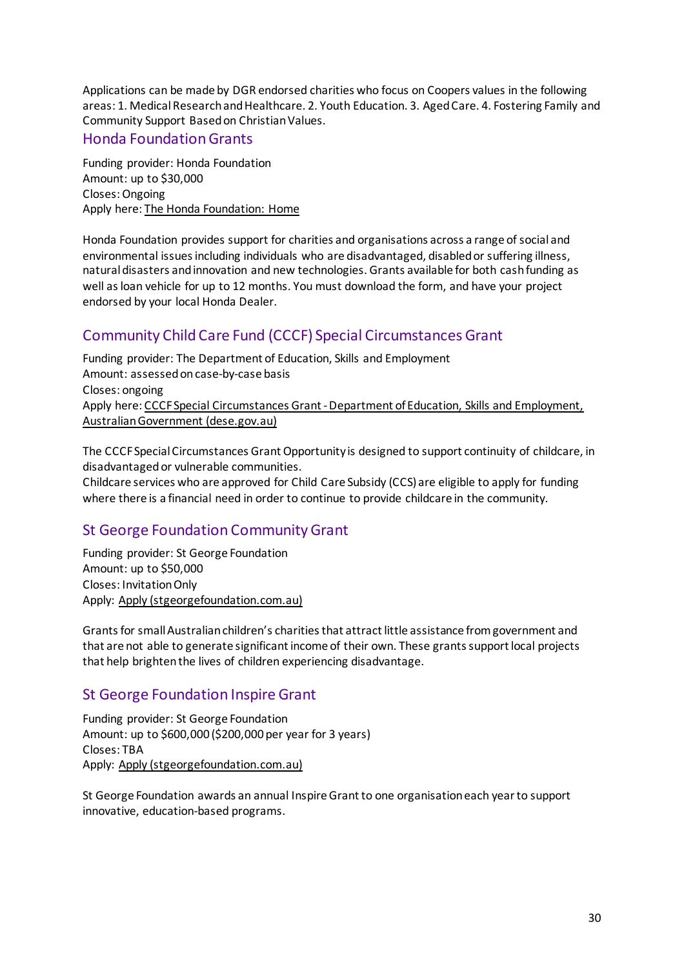Applications can be made by DGR endorsed charities who focus on Coopers values in the following areas: 1. Medical Research and Healthcare. 2. Youth Education. 3. Aged Care. 4. Fostering Family and Community Support Based on Christian Values.

### <span id="page-29-0"></span>Honda Foundation Grants

Funding provider: Honda Foundation Amount: up to \$30,000 Closes: Ongoing Apply here: [The Honda Foundation: Home](https://www.thehondafoundation.com.au/)

Honda Foundation provides support for charities and organisations across a range of social and environmental issues including individuals who are disadvantaged, disabled or suffering illness, natural disasters and innovation and new technologies. Grants available for both cash funding as well as loan vehicle for up to 12 months. You must download the form, and have your project endorsed by your local Honda Dealer.

# <span id="page-29-1"></span>Community Child Care Fund (CCCF) Special Circumstances Grant

Funding provider: The Department of Education, Skills and Employment Amount: assessed on case-by-case basis Closes: ongoing Apply here: [CCCF Special Circumstances Grant - Department of Education, Skills and Employment,](https://www.dese.gov.au/community-child-care-fund/special-circumstances)  [Australian Government \(dese.gov.au\)](https://www.dese.gov.au/community-child-care-fund/special-circumstances)

The CCCF Special Circumstances Grant Opportunity is designed to support continuity of childcare, in disadvantaged or vulnerable communities.

Childcare services who are approved for Child Care Subsidy (CCS) are eligible to apply for funding where there is a financial need in order to continue to provide childcare in the community.

# <span id="page-29-2"></span>St George Foundation Community Grant

Funding provider: St George Foundation Amount: up to \$50,000 Closes: Invitation Only Apply: [Apply \(stgeorgefoundation.com.au\)](https://www.stgeorgefoundation.com.au/apply)

Grants for small Australian children's charities that attract little assistance from government and that are not able to generate significant income of their own. These grants support local projects that help brighten the lives of children experiencing disadvantage.

# <span id="page-29-3"></span>St George Foundation Inspire Grant

Funding provider: St George Foundation Amount: up to \$600,000 (\$200,000 per year for 3 years) Closes: TBA Apply: [Apply \(stgeorgefoundation.com.au\)](https://www.stgeorgefoundation.com.au/apply)

St George Foundation awards an annual Inspire Grant to one organisation each year to support innovative, education-based programs.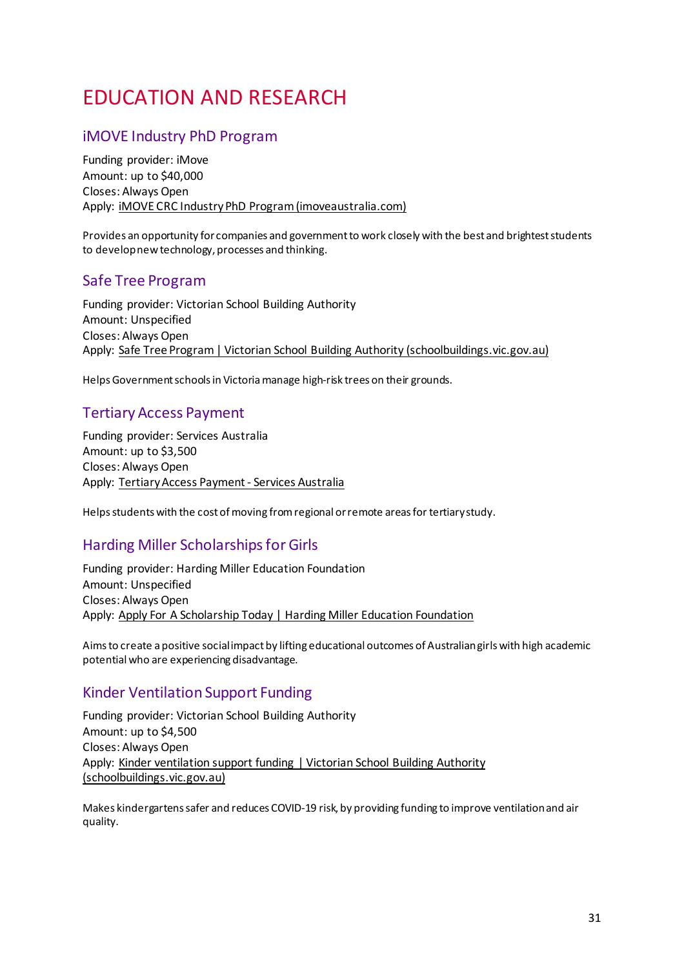# <span id="page-30-0"></span>EDUCATION AND RESEARCH

### <span id="page-30-1"></span>iMOVE Industry PhD Program

Funding provider: iMove Amount: up to \$40,000 Closes: Always Open Apply: [iMOVE CRC Industry PhD Program \(imoveaustralia.com\)](https://imoveaustralia.com/industry-phd-program/)

Provides an opportunity for companies and government to work closely with the best and brightest students to develop new technology, processes and thinking.

### <span id="page-30-2"></span>Safe Tree Program

Funding provider: Victorian School Building Authority Amount: Unspecified Closes: Always Open Apply: [Safe Tree Program | Victorian School Building Authority \(schoolbuildings.vic.gov.au\)](https://www.schoolbuildings.vic.gov.au/safe-tree-program)

Helps Government schools in Victoria manage high-risk trees on their grounds.

### <span id="page-30-3"></span>Tertiary Access Payment

Funding provider: Services Australia Amount: up to \$3,500 Closes: Always Open Apply: [Tertiary Access Payment - Services Australia](https://www.servicesaustralia.gov.au/tertiary-access-payment)

Helps students with the cost of moving from regional or remote areas for tertiary study.

### <span id="page-30-4"></span>Harding Miller Scholarships for Girls

Funding provider: Harding Miller Education Foundation Amount: Unspecified Closes: Always Open Apply: [Apply For A Scholarship Today | Harding Miller Education Foundation](https://www.hardingmillereducationfoundation.org.au/apply-for-a-scholarship/)

Aims to create a positive social impact by lifting educational outcomes of Australian girls with high academic potential who are experiencing disadvantage.

### <span id="page-30-5"></span>Kinder Ventilation Support Funding

Funding provider: Victorian School Building Authority Amount: up to \$4,500 Closes: Always Open Apply: [Kinder ventilation support funding | Victorian School Building Authority](https://www.schoolbuildings.vic.gov.au/kinder-ventilation-support-funding)  [\(schoolbuildings.vic.gov.au\)](https://www.schoolbuildings.vic.gov.au/kinder-ventilation-support-funding)

Makes kindergartens safer and reduces COVID-19 risk, by providing funding to improve ventilation and air quality.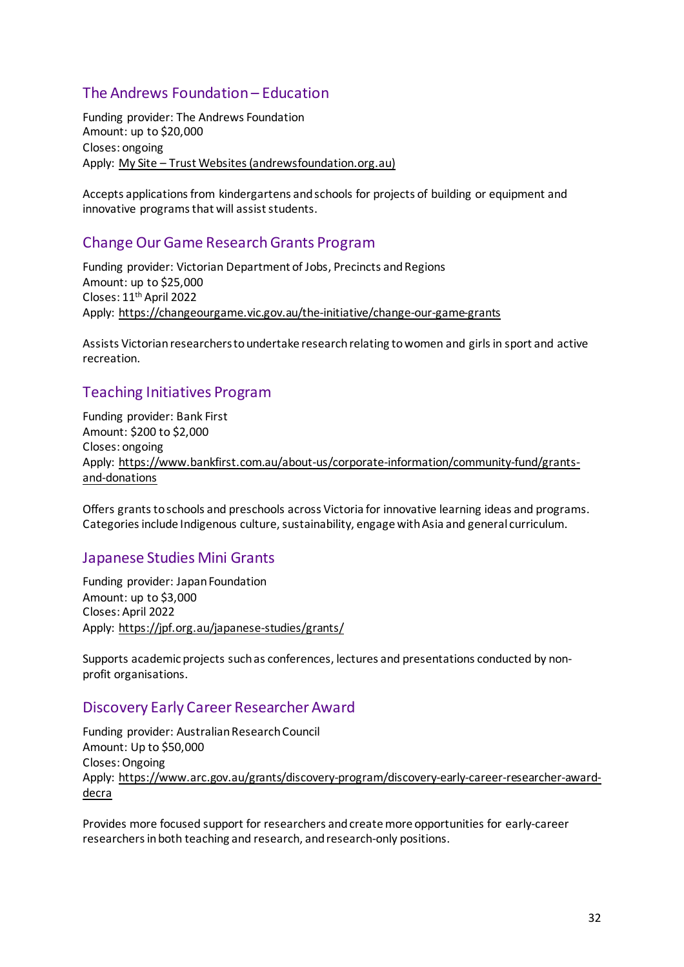# <span id="page-31-0"></span>The Andrews Foundation – Education

Funding provider: The Andrews Foundation Amount: up to \$20,000 Closes: ongoing Apply: [My Site – Trust Websites \(andrewsfoundation.org.au\)](https://andrewsfoundation.org.au/)

Accepts applications from kindergartens and schools for projects of building or equipment and innovative programs that will assist students.

### <span id="page-31-1"></span>Change Our Game Research Grants Program

Funding provider: Victorian Department of Jobs, Precincts and Regions Amount: up to \$25,000 Closes: 11th April 2022 Apply:<https://changeourgame.vic.gov.au/the-initiative/change-our-game-grants>

Assists Victorian researchers to undertake research relating to women and girls in sport and active recreation.

# <span id="page-31-2"></span>Teaching Initiatives Program

Funding provider: Bank First Amount: \$200 to \$2,000 Closes: ongoing Apply: [https://www.bankfirst.com.au/about-us/corporate-information/community-fund/grants](https://www.bankfirst.com.au/about-us/corporate-information/community-fund/grants-and-donations)[and-donations](https://www.bankfirst.com.au/about-us/corporate-information/community-fund/grants-and-donations)

Offers grants to schools and preschools across Victoria for innovative learning ideas and programs. Categories include Indigenous culture, sustainability, engage with Asia and general curriculum.

### <span id="page-31-3"></span>Japanese Studies Mini Grants

Funding provider: Japan Foundation Amount: up to \$3,000 Closes: April 2022 Apply:<https://jpf.org.au/japanese-studies/grants/>

Supports academic projects such as conferences, lectures and presentations conducted by nonprofit organisations.

### <span id="page-31-4"></span>Discovery Early Career Researcher Award

Funding provider: Australian Research Council Amount: Up to \$50,000 Closes: Ongoing Apply: [https://www.arc.gov.au/grants/discovery-program/discovery-early-career-researcher-award](https://www.arc.gov.au/grants/discovery-program/discovery-early-career-researcher-award-decra)[decra](https://www.arc.gov.au/grants/discovery-program/discovery-early-career-researcher-award-decra)

Provides more focused support for researchers and create more opportunities for early-career researchers in both teaching and research, and research-only positions.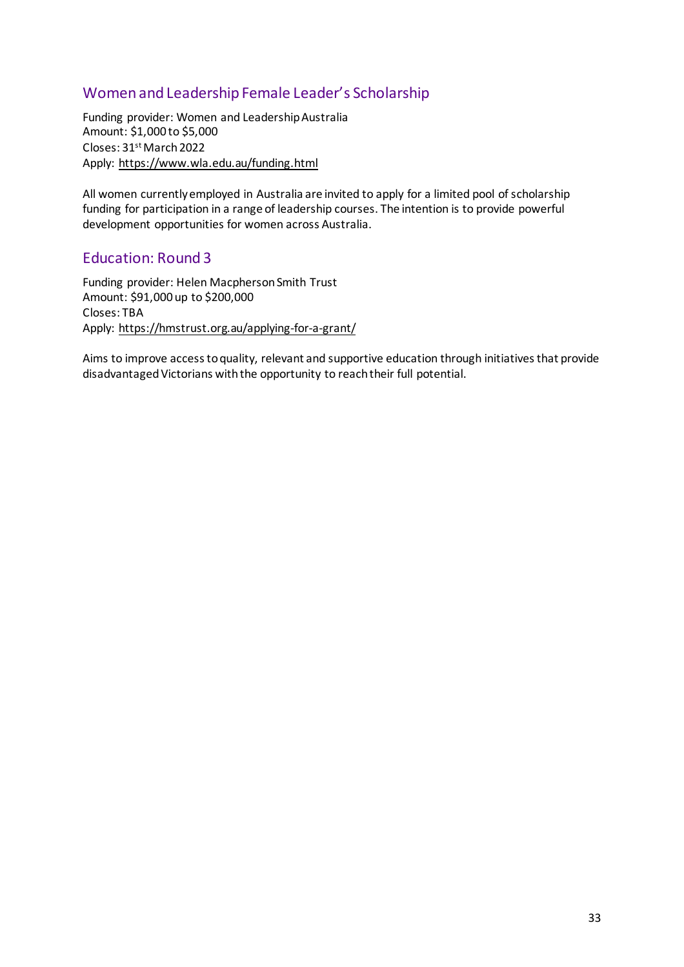# <span id="page-32-0"></span>Women and Leadership Female Leader's Scholarship

Funding provider: Women and Leadership Australia Amount: \$1,000 to \$5,000 Closes: 31<sup>st</sup> March 2022 Apply:<https://www.wla.edu.au/funding.html>

All women currently employed in Australia are invited to apply for a limited pool of scholarship funding for participation in a range of leadership courses. The intention is to provide powerful development opportunities for women across Australia.

### <span id="page-32-1"></span>Education: Round 3

Funding provider: Helen Macpherson Smith Trust Amount: \$91,000 up to \$200,000 Closes: TBA Apply:<https://hmstrust.org.au/applying-for-a-grant/>

Aims to improve access to quality, relevant and supportive education through initiatives that provide disadvantaged Victorians with the opportunity to reach their full potential.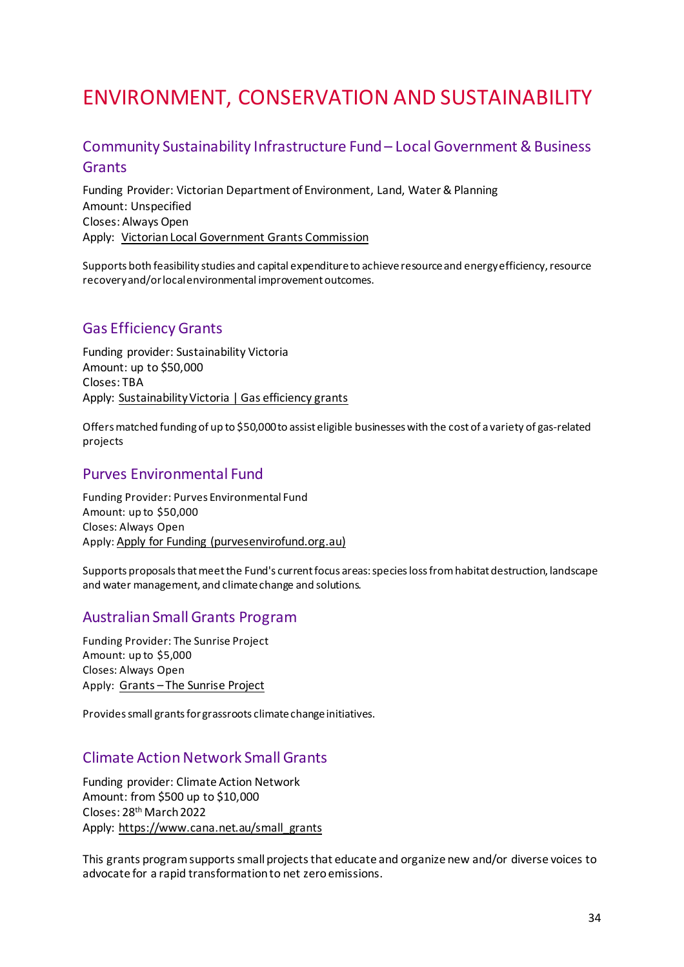# <span id="page-33-0"></span>ENVIRONMENT, CONSERVATION AND SUSTAINABILITY

# <span id="page-33-1"></span>Community Sustainability Infrastructure Fund – Local Government & Business Grants

Funding Provider: Victorian Department of Environment, Land, Water & Planning Amount: Unspecified Closes: Always Open Apply: [Victorian Local Government Grants Commission](https://www.localgovernment.vic.gov.au/funding-programs/victoria-grants-commission)

Supports both feasibility studies and capital expenditure to achieve resource and energy efficiency, resource recovery and/or local environmental improvement outcomes.

### <span id="page-33-2"></span>Gas Efficiency Grants

Funding provider: Sustainability Victoria Amount: up to \$50,000 Closes: TBA Apply: [Sustainability Victoria | Gas efficiency grants](https://www.sustainability.vic.gov.au/grants-funding-and-investment/funded-projects/energy-efficiency-and-reducing-emissions-2/gas-efficiency-grants)

Offers matched funding of up to \$50,000 to assist eligible businesses with the cost of a variety of gas-related projects

#### <span id="page-33-3"></span>Purves Environmental Fund

Funding Provider: Purves Environmental Fund Amount: up to \$50,000 Closes: Always Open Apply[: Apply for Funding \(purvesenvirofund.org.au\)](https://www.purvesenvirofund.org.au/funding)

Supports proposals that meet the Fund's current focus areas: species loss from habitat destruction, landscape and water management, and climate change and solutions.

#### <span id="page-33-4"></span>Australian Small Grants Program

Funding Provider: The Sunrise Project Amount: up to \$5,000 Closes: Always Open Apply: [Grants – The Sunrise Project](https://sunriseproject.org/grants/)

Provides small grants for grassroots climate change initiatives.

### <span id="page-33-5"></span>Climate Action Network Small Grants

Funding provider: Climate Action Network Amount: from \$500 up to \$10,000 Closes: 28<sup>th</sup> March 2022 Apply: [https://www.cana.net.au/small\\_grants](https://www.cana.net.au/small_grants)

This grants program supports small projects that educate and organize new and/or diverse voices to advocate for a rapid transformation to net zero emissions.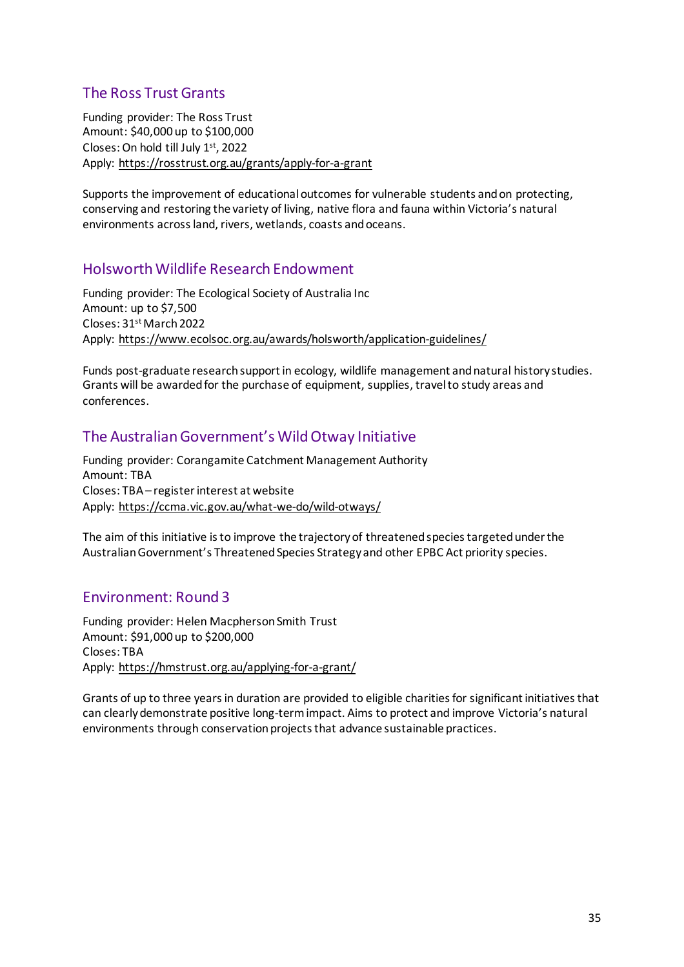# <span id="page-34-0"></span>The Ross Trust Grants

Funding provider: The Ross Trust Amount: \$40,000 up to \$100,000 Closes: On hold till July 1st, 2022 Apply:<https://rosstrust.org.au/grants/apply-for-a-grant>

Supports the improvement of educational outcomes for vulnerable students and on protecting, conserving and restoring the variety of living, native flora and fauna within Victoria's natural environments across land, rivers, wetlands, coasts and oceans.

### <span id="page-34-1"></span>Holsworth Wildlife Research Endowment

Funding provider: The Ecological Society of Australia Inc Amount: up to \$7,500 Closes: 31<sup>st</sup> March 2022 Apply:<https://www.ecolsoc.org.au/awards/holsworth/application-guidelines/>

Funds post-graduate research support in ecology, wildlife management and natural history studies. Grants will be awarded for the purchase of equipment, supplies, travel to study areas and conferences.

# <span id="page-34-2"></span>The Australian Government's Wild Otway Initiative

Funding provider: Corangamite Catchment Management Authority Amount: TBA Closes: TBA – register interest at website Apply:<https://ccma.vic.gov.au/what-we-do/wild-otways/>

The aim of this initiative is to improve the trajectory of threatened species targeted under the Australian Government's Threatened Species Strategy and other EPBC Act priority species.

### <span id="page-34-3"></span>Environment: Round 3

Funding provider: Helen Macpherson Smith Trust Amount: \$91,000 up to \$200,000 Closes: TBA Apply:<https://hmstrust.org.au/applying-for-a-grant/>

Grants of up to three years in duration are provided to eligible charities for significant initiatives that can clearly demonstrate positive long-term impact. Aims to protect and improve Victoria's natural environments through conservation projects that advance sustainable practices.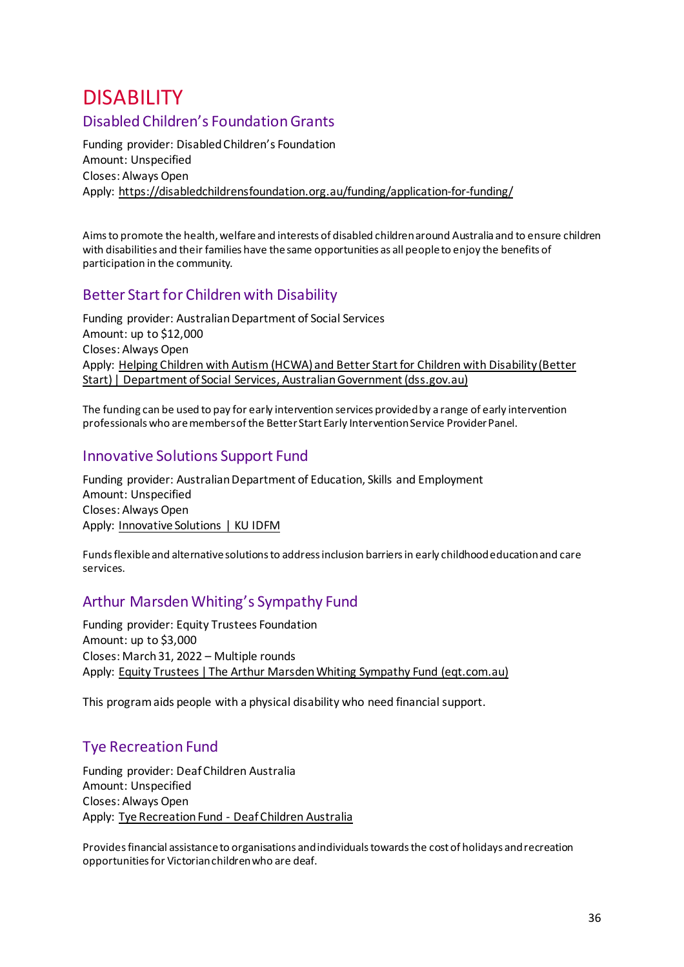# <span id="page-35-1"></span><span id="page-35-0"></span>**DISABILITY**<br>Disabled Children's Foundation Grants

Funding provider: Disabled Children's Foundation Amount: Unspecified Closes: Always Open Apply:<https://disabledchildrensfoundation.org.au/funding/application-for-funding/>

Aims to promote the health, welfare and interests of disabled children around Australia and to ensure children with disabilities and their families have the same opportunities as all people to enjoy the benefits of participation in the community.

# <span id="page-35-2"></span>Better Start for Children with Disability

Funding provider: Australian Department of Social Services Amount: up to \$12,000 Closes: Always Open Apply: [Helping Children with Autism \(HCWA\) and Better Start for Children with Disability \(Better](https://www.dss.gov.au/disability-and-carers-programs-services-for-people-with-disability/helping-children-with-autism-hcwa-and-better-start-for-children-with-disability-better-start)  [Start\) | Department of Social Services, Australian Government \(dss.gov.au\)](https://www.dss.gov.au/disability-and-carers-programs-services-for-people-with-disability/helping-children-with-autism-hcwa-and-better-start-for-children-with-disability-better-start)

The funding can be used to pay for early intervention services provided by a range of early intervention professionals who are members of the Better Start Early Intervention Service Provider Panel.

### <span id="page-35-3"></span>Innovative Solutions Support Fund

Funding provider: Australian Department of Education, Skills and Employment Amount: Unspecified Closes: Always Open Apply: [Innovative Solutions | KU IDFM](https://idfm.org.au/funding-streams/innovative-solutions)

Funds flexible and alternative solutions to address inclusion barriers in early childhood education and care services.

# <span id="page-35-4"></span>Arthur Marsden Whiting's Sympathy Fund

Funding provider: Equity Trustees Foundation Amount: up to \$3,000 Closes: March 31, 2022 – Multiple rounds Apply: [Equity Trustees | The Arthur Marsden Whiting Sympathy Fund \(eqt.com.au\)](https://www.eqt.com.au/philanthropy/grant-funding/folder-medical-grants/arthur-marsden-whiting-sympathy-fund)

This program aids people with a physical disability who need financial support.

# <span id="page-35-5"></span>Tye Recreation Fund

Funding provider: Deaf Children Australia Amount: Unspecified Closes: Always Open Apply: [Tye Recreation Fund - Deaf Children Australia](https://www.deafchildrenaustralia.org.au/scholarships-and-grants/)

Provides financial assistance to organisations and individuals towards the cost of holidays and recreation opportunities for Victorian children who are deaf.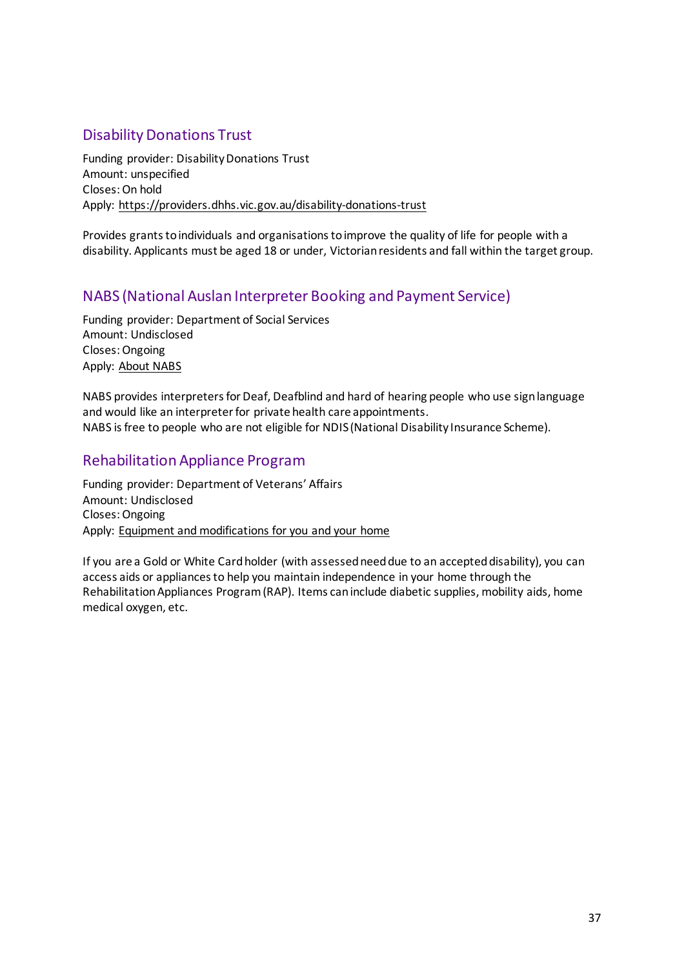# <span id="page-36-0"></span>Disability Donations Trust

Funding provider: Disability Donations Trust Amount: unspecified Closes: On hold Apply:<https://providers.dhhs.vic.gov.au/disability-donations-trust>

Provides grants to individuals and organisations to improve the quality of life for people with a disability. Applicants must be aged 18 or under, Victorian residents and fall within the target group.

# <span id="page-36-1"></span>NABS (National Auslan Interpreter Booking and Payment Service)

Funding provider: Department of Social Services Amount: Undisclosed Closes: Ongoing Apply: [About NABS](https://www.nabs.org.au/about-nabs.html)

NABS provides interpreters for Deaf, Deafblind and hard of hearing people who use sign language and would like an interpreter for private health care appointments. NABS is free to people who are not eligible for NDIS (National Disability Insurance Scheme).

### <span id="page-36-2"></span>Rehabilitation Appliance Program

Funding provider: Department of Veterans' Affairs Amount: Undisclosed Closes: Ongoing Apply: [Equipment and modifications for you and your home](https://www.dva.gov.au/health-and-treatment/care-home-or-aged-care/equipment-and-modifications-you-and-your-home)

If you are a Gold or White Card holder (with assessed need due to an accepted disability), you can access aids or appliances to help you maintain independence in your home through the Rehabilitation Appliances Program (RAP). Items can include diabetic supplies, mobility aids, home medical oxygen, etc.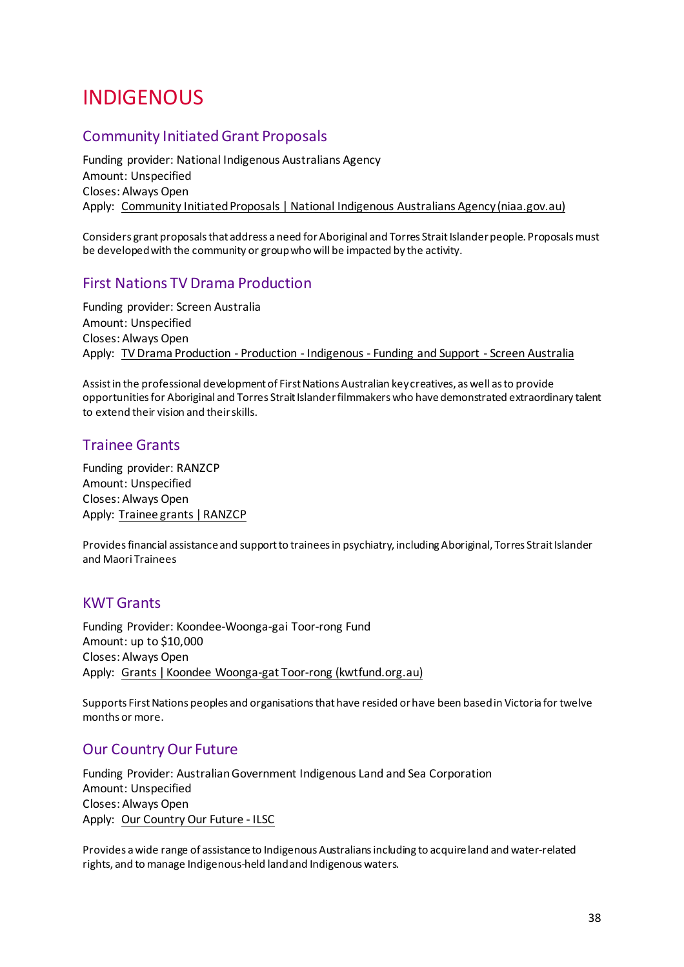# <span id="page-37-0"></span>INDIGENOUS

# <span id="page-37-1"></span>Community Initiated Grant Proposals

Funding provider: National Indigenous Australians Agency Amount: Unspecified Closes: Always Open Apply: [Community Initiated Proposals | National Indigenous Australians Agency \(niaa.gov.au\)](https://www.niaa.gov.au/indigenous-affairs/grants-and-funding/community-led-proposals)

Considers grant proposals that address a need for Aboriginal and Torres Strait Islander people. Proposals must be developed with the community or group who will be impacted by the activity.

### <span id="page-37-2"></span>First Nations TV Drama Production

Funding provider: Screen Australia Amount: Unspecified Closes: Always Open Apply: [TV Drama Production - Production - Indigenous - Funding and Support - Screen Australia](https://www.screenaustralia.gov.au/funding-and-support/first-nations/production/tv-drama-production)

Assist in the professional development of First Nations Australian key creatives, as well as to provide opportunities for Aboriginal and Torres Strait Islander filmmakers who have demonstrated extraordinary talent to extend their vision and their skills.

### <span id="page-37-3"></span>Trainee Grants

Funding provider: RANZCP Amount: Unspecified Closes: Always Open Apply: [Trainee grants | RANZCP](https://www.ranzcp.org/membership/awards-grants-and-member-recognition/trainee-grants)

Provides financial assistance and support to trainees in psychiatry, including Aboriginal, Torres Strait Islander and Maori Trainees

### <span id="page-37-4"></span>KWT Grants

Funding Provider: Koondee-Woonga-gai Toor-rong Fund Amount: up to \$10,000 Closes: Always Open Apply: [Grants | Koondee Woonga-gat Toor-rong \(kwtfund.org.au\)](https://www.kwtfund.org.au/grants)

Supports First Nations peoples and organisations that have resided or have been based in Victoria for twelve months or more.

### <span id="page-37-5"></span>Our Country Our Future

Funding Provider: Australian Government Indigenous Land and Sea Corporation Amount: Unspecified Closes: Always Open Apply: [Our Country Our Future - ILSC](https://www.ilsc.gov.au/partner-with-us/our-country-our-future/)

Provides a wide range of assistance to Indigenous Australians including to acquire land and water-related rights, and to manage Indigenous-held land and Indigenous waters.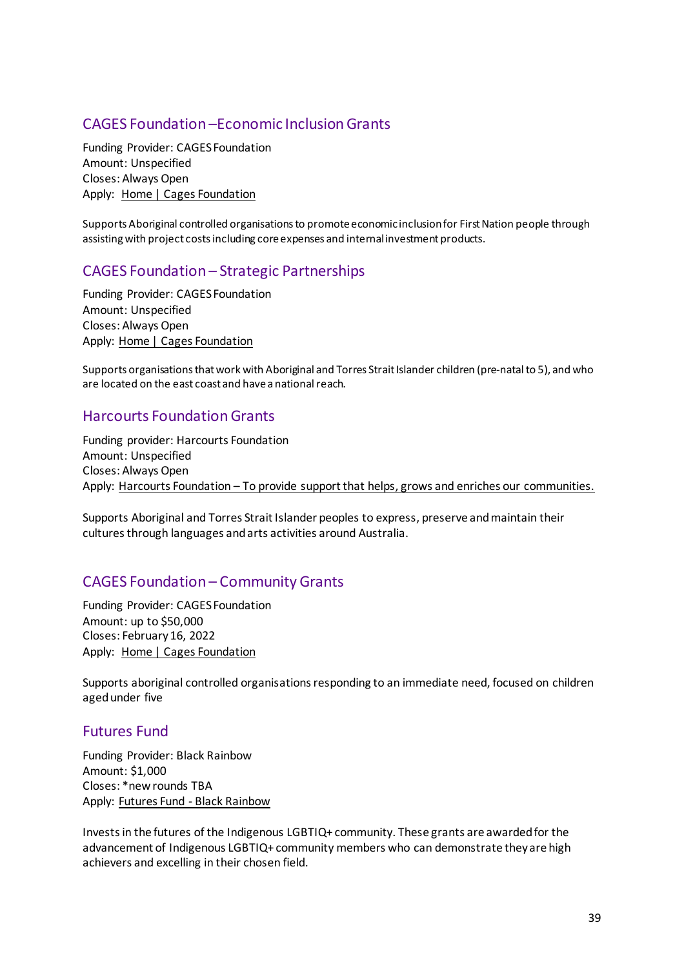### <span id="page-38-0"></span>CAGES Foundation –Economic Inclusion Grants

Funding Provider: CAGES Foundation Amount: Unspecified Closes: Always Open Apply: [Home | Cages Foundation](https://cagesfoundation.org/)

Supports Aboriginal controlled organisations to promote economic inclusion for First Nation people through assisting with project costs including core expenses and internal investment products.

# <span id="page-38-1"></span>CAGES Foundation – Strategic Partnerships

Funding Provider: CAGES Foundation Amount: Unspecified Closes: Always Open Apply: [Home | Cages Foundation](https://cagesfoundation.org/)

Supports organisations that work with Aboriginal and Torres Strait Islander children (pre-natal to 5), and who are located on the east coast and have a national reach.

### <span id="page-38-2"></span>Harcourts Foundation Grants

Funding provider: Harcourts Foundation Amount: Unspecified Closes: Always Open Apply: [Harcourts Foundation – To provide support that helps, grows and enriches our communities.](https://harcourtsfoundation.org/)

Supports Aboriginal and Torres Strait Islander peoples to express, preserve and maintain their cultures through languages and arts activities around Australia.

### <span id="page-38-3"></span>CAGES Foundation – Community Grants

Funding Provider: CAGES Foundation Amount: up to \$50,000 Closes: February 16, 2022 Apply: [Home | Cages Foundation](https://cagesfoundation.org/)

Supports aboriginal controlled organisations responding to an immediate need, focused on children aged under five

#### <span id="page-38-4"></span>Futures Fund

Funding Provider: Black Rainbow Amount: \$1,000 Closes: \*new rounds TBA Apply: [Futures Fund - Black Rainbow](https://blackrainbow.org.au/futuresfund/)

Invests in the futures of the Indigenous LGBTIQ+ community. These grants are awarded for the advancement of Indigenous LGBTIQ+ community members who can demonstrate they are high achievers and excelling in their chosen field.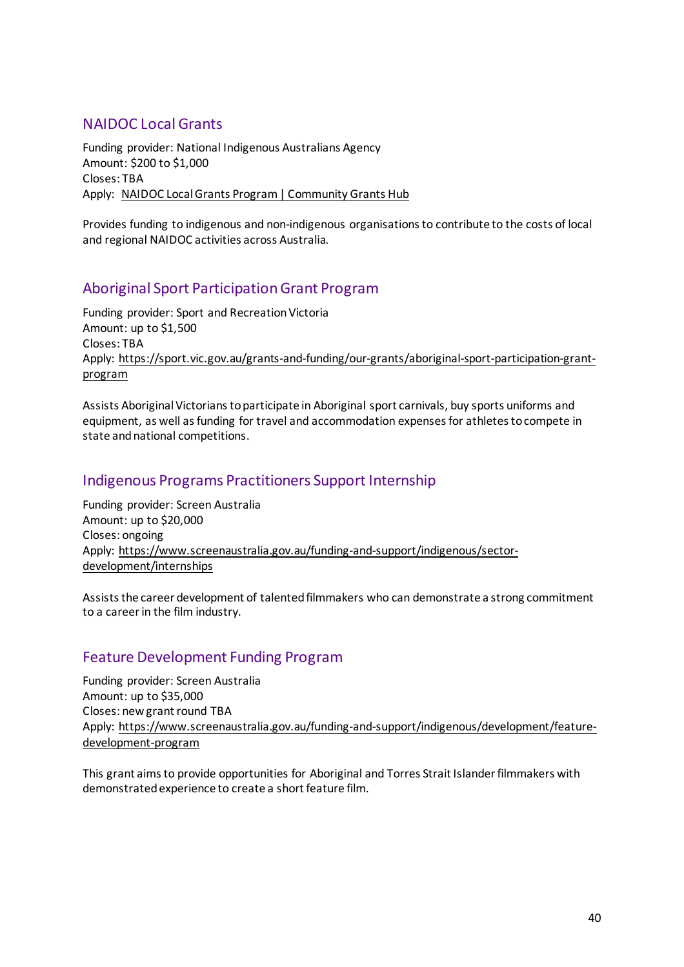### <span id="page-39-0"></span>NAIDOC Local Grants

Funding provider: National Indigenous Australians Agency Amount: \$200 to \$1,000 Closes: TBA Apply: [NAIDOC Local Grants Program | Community Grants Hub](https://www.communitygrants.gov.au/grants/naidoc-local-grants-program)

Provides funding to indigenous and non-indigenous organisations to contribute to the costs of local and regional NAIDOC activities across Australia.

# <span id="page-39-1"></span>Aboriginal Sport Participation Grant Program

Funding provider: Sport and Recreation Victoria Amount: up to \$1,500 Closes: TBA Apply: [https://sport.vic.gov.au/grants-and-funding/our-grants/aboriginal-sport-participation-grant](https://sport.vic.gov.au/grants-and-funding/our-grants/aboriginal-sport-participation-grant-program)[program](https://sport.vic.gov.au/grants-and-funding/our-grants/aboriginal-sport-participation-grant-program)

Assists Aboriginal Victorians to participate in Aboriginal sport carnivals, buy sports uniforms and equipment, as well as funding for travel and accommodation expenses for athletes to compete in state and national competitions.

### <span id="page-39-2"></span>Indigenous Programs Practitioners Support Internship

Funding provider: Screen Australia Amount: up to \$20,000 Closes: ongoing Apply: [https://www.screenaustralia.gov.au/funding-and-support/indigenous/sector](https://www.screenaustralia.gov.au/funding-and-support/indigenous/sector-development/internships)[development/internships](https://www.screenaustralia.gov.au/funding-and-support/indigenous/sector-development/internships)

Assists the career development of talented filmmakers who can demonstrate a strong commitment to a career in the film industry.

# <span id="page-39-3"></span>Feature Development Funding Program

Funding provider: Screen Australia Amount: up to \$35,000 Closes: new grant round TBA Apply: [https://www.screenaustralia.gov.au/funding-and-support/indigenous/development/feature](https://www.screenaustralia.gov.au/funding-and-support/indigenous/development/feature-development-program)[development-program](https://www.screenaustralia.gov.au/funding-and-support/indigenous/development/feature-development-program)

This grant aims to provide opportunities for Aboriginal and Torres Strait Islander filmmakers with demonstrated experience to create a short feature film.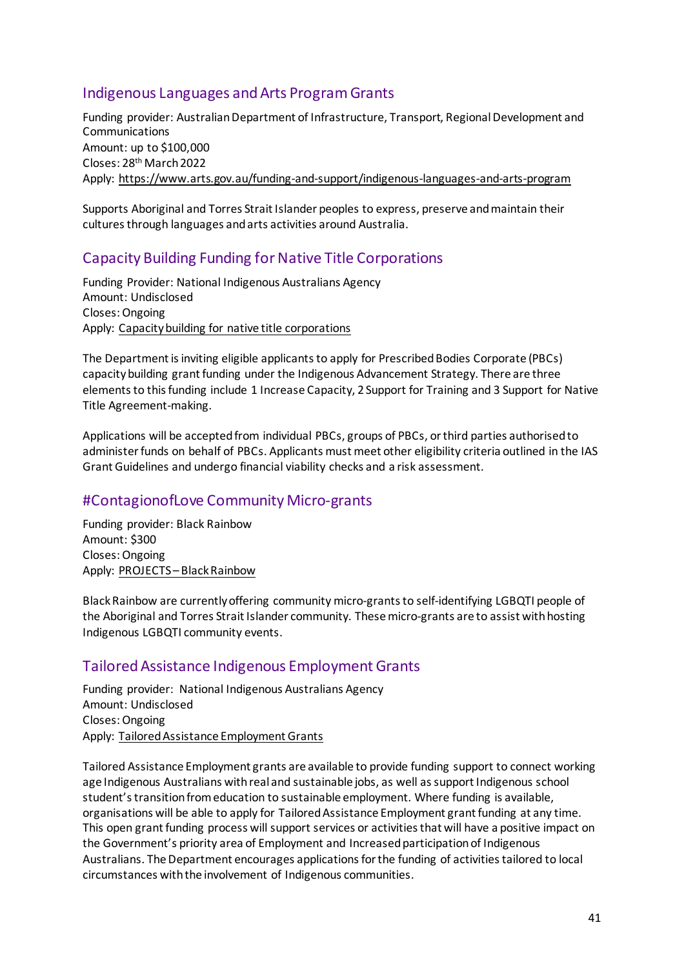# <span id="page-40-0"></span>Indigenous Languages and Arts Program Grants

Funding provider: Australian Department of Infrastructure, Transport, Regional Development and Communications Amount: up to \$100,000 Closes: 28th March2022 Apply:<https://www.arts.gov.au/funding-and-support/indigenous-languages-and-arts-program>

Supports Aboriginal and Torres Strait Islander peoples to express, preserve and maintain their cultures through languages and arts activities around Australia.

# <span id="page-40-1"></span>Capacity Building Funding for Native Title Corporations

Funding Provider: National Indigenous Australians Agency Amount: Undisclosed Closes: Ongoing Apply: [Capacity building for native title corporations](https://www.niaa.gov.au/indigenous-affairs/grants-and-funding/capacity-building-native-title-corporations)

The Department is inviting eligible applicants to apply for Prescribed Bodies Corporate (PBCs) capacity building grant funding under the Indigenous Advancement Strategy. There are three elements to this funding include 1 Increase Capacity, 2 Support for Training and 3 Support for Native Title Agreement-making.

Applications will be accepted from individual PBCs, groups of PBCs, or third parties authorised to administer funds on behalf of PBCs. Applicants must meet other eligibility criteria outlined in the IAS Grant Guidelines and undergo financial viability checks and a risk assessment.

# <span id="page-40-2"></span>#ContagionofLove Community Micro-grants

Funding provider: Black Rainbow Amount: \$300 Closes: Ongoing Apply: [PROJECTS – Black Rainbow](http://www.blackrainbow.org.au/contagion-of-love-projects/)

Black Rainbow are currently offering community micro-grants to self-identifying LGBQTI people of the Aboriginal and Torres Strait Islander community. These micro-grants are to assist with hosting Indigenous LGBQTI community events.

### <span id="page-40-3"></span>Tailored Assistance Indigenous Employment Grants

Funding provider: National Indigenous Australians Agency Amount: Undisclosed Closes: Ongoing Apply: [Tailored Assistance Employment Grants](https://www.niaa.gov.au/indigenous-affairs/employment/tailored-assistance-employment-grants)

Tailored Assistance Employment grants are available to provide funding support to connect working age Indigenous Australians with real and sustainable jobs, as well as support Indigenous school student's transition from education to sustainable employment. Where funding is available, organisations will be able to apply for Tailored Assistance Employment grant funding at any time. This open grant funding process will support services or activities that will have a positive impact on the Government's priority area of Employment and Increased participation of Indigenous Australians. The Department encourages applications for the funding of activities tailored to local circumstances with the involvement of Indigenous communities.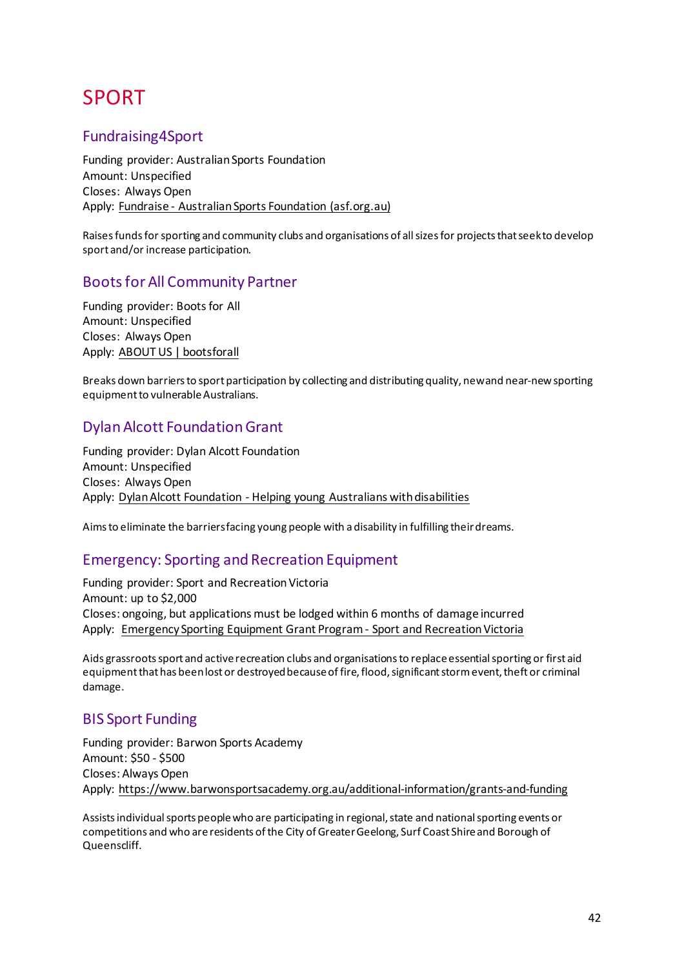# <span id="page-41-0"></span>SPORT

### <span id="page-41-1"></span>Fundraising4Sport

Funding provider: Australian Sports Foundation Amount: Unspecified Closes: Always Open Apply: [Fundraise - Australian Sports Foundation \(asf.org.au\)](https://asf.org.au/fundraise)

Raises funds for sporting and community clubs and organisations of all sizes for projects that seek to develop sport and/or increase participation.

### <span id="page-41-2"></span>Boots for All Community Partner

Funding provider: Boots for All Amount: Unspecified Closes: Always Open Apply: [ABOUT US | bootsforall](https://www.bootsforall.org.au/about-us#:%7E:text=Boots%20For%20All%20-%20Sport%20for%20All%20Since,social%20enterprise%20sports%20store%20-%20Sport%20for%20All)

Breaks down barriers to sport participation by collecting and distributing quality, new and near-new sporting equipment to vulnerable Australians.

# <span id="page-41-3"></span>Dylan Alcott Foundation Grant

Funding provider: Dylan Alcott Foundation Amount: Unspecified Closes: Always Open Apply: [Dylan Alcott Foundation - Helping young Australians with disabilities](https://dylanalcottfoundation.com.au/)

Aims to eliminate the barriers facing young people with a disability in fulfilling their dreams.

### <span id="page-41-4"></span>Emergency: Sporting and Recreation Equipment

Funding provider: Sport and Recreation Victoria Amount: up to \$2,000 Closes: ongoing, but applications must be lodged within 6 months of damage incurred Apply: [Emergency Sporting Equipment Grant Program - Sport and Recreation Victoria](https://sport.vic.gov.au/grants-and-funding/our-grants/emergency-sporting-and-recreational-equipment)

Aids grassroots sport and active recreation clubs and organisations to replace essential sporting or first aid equipment that has been lost or destroyed because of fire, flood, significant storm event, theft or criminal damage.

### <span id="page-41-5"></span>BIS Sport Funding

Funding provider: Barwon Sports Academy Amount: \$50 - \$500 Closes: Always Open Apply:<https://www.barwonsportsacademy.org.au/additional-information/grants-and-funding>

Assists individual sports people who are participating in regional, state and national sporting events or competitions and who are residents of the City of Greater Geelong, Surf Coast Shire and Borough of Queenscliff.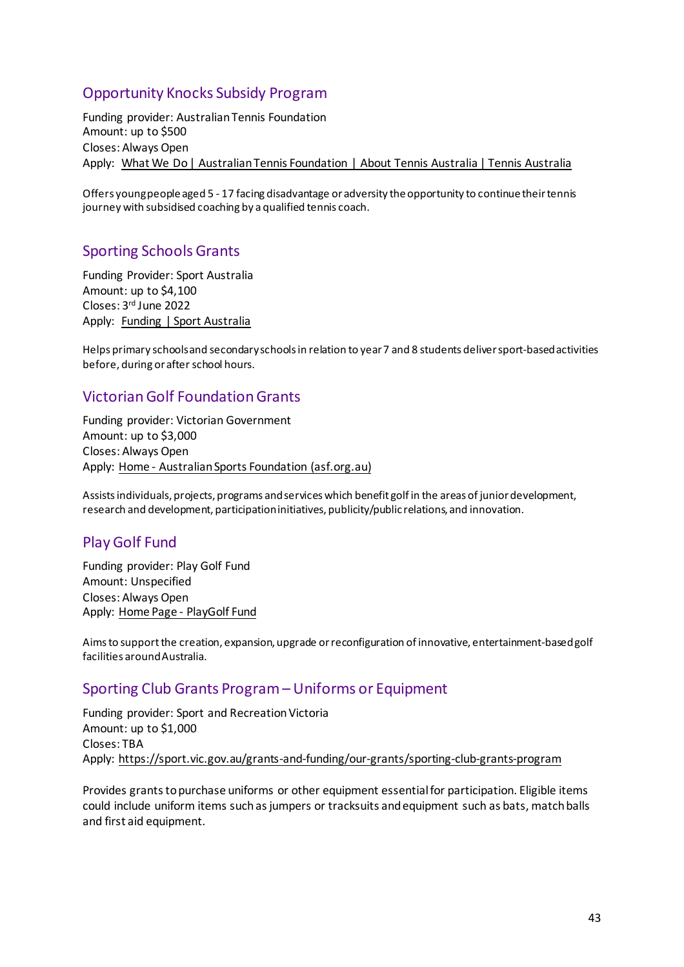# <span id="page-42-0"></span>Opportunity Knocks Subsidy Program

Funding provider: Australian Tennis Foundation Amount: up to \$500 Closes: Always Open Apply: [What We Do | Australian Tennis Foundation | About Tennis Australia | Tennis Australia](https://www.tennis.com.au/about-tennis-australia/australian-tennis-foundation/what-we-do#:%7E:text=The%20Opportunity%20Knocks%20Subsidy%20Program,membership%20fees%20or%20competition%20fees.)

Offers young people aged 5 - 17 facing disadvantage or adversity the opportunity to continue their tennis journey with subsidised coaching by a qualified tennis coach.

# <span id="page-42-1"></span>Sporting Schools Grants

Funding Provider: Sport Australia Amount: up to \$4,100 Closes: 3rd June 2022 Apply: [Funding | Sport Australia](https://www.sportaus.gov.au/schools/schools/funding)

Helps primary schools and secondary schools in relation to year 7 and 8 students deliver sport-based activities before, during or after school hours.

# <span id="page-42-2"></span>Victorian Golf Foundation Grants

Funding provider: Victorian Government Amount: up to \$3,000 Closes: Always Open Apply: [Home - Australian Sports Foundation \(asf.org.au\)](https://asf.org.au/)

Assists individuals, projects, programs and services which benefit golf in the areas of junior development, research and development, participation initiatives, publicity/public relations, and innovation.

# <span id="page-42-3"></span>Play Golf Fund

Funding provider: Play Golf Fund Amount: Unspecified Closes: Always Open Apply: [Home Page - PlayGolf Fund](https://playgolffund.com.au/)

Aims to support the creation, expansion, upgrade or reconfiguration of innovative, entertainment-based golf facilities around Australia.

### <span id="page-42-4"></span>Sporting Club Grants Program – Uniforms or Equipment

Funding provider: Sport and Recreation Victoria Amount: up to \$1,000 Closes: TBA Apply:<https://sport.vic.gov.au/grants-and-funding/our-grants/sporting-club-grants-program>

Provides grants to purchase uniforms or other equipment essential for participation. Eligible items could include uniform items such as jumpers or tracksuits and equipment such as bats, match balls and first aid equipment.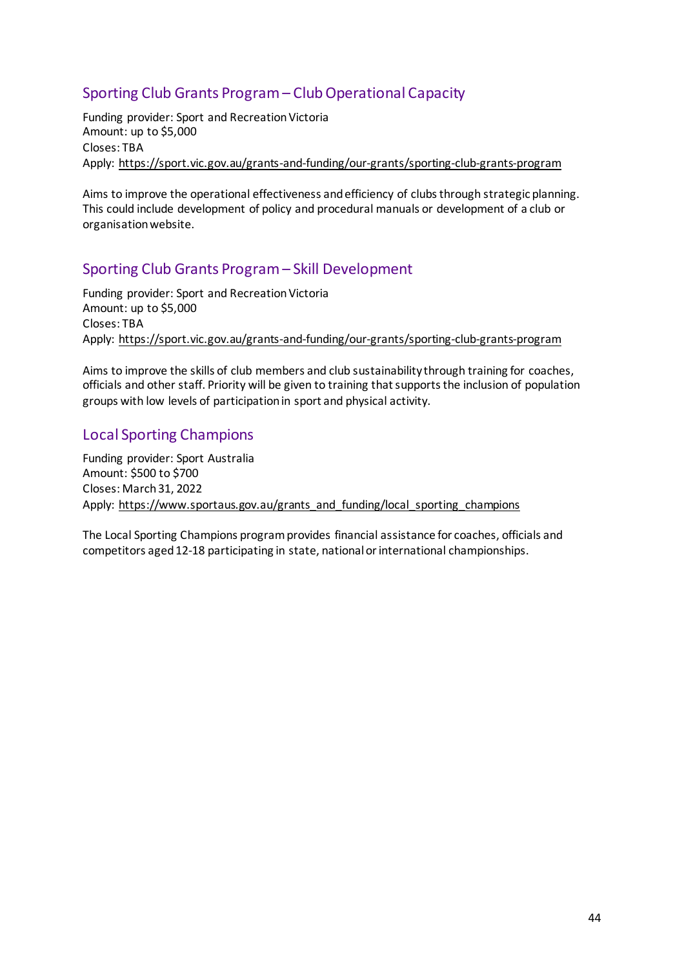# <span id="page-43-0"></span>Sporting Club Grants Program – Club Operational Capacity

Funding provider: Sport and Recreation Victoria Amount: up to \$5,000 Closes: TBA Apply:<https://sport.vic.gov.au/grants-and-funding/our-grants/sporting-club-grants-program>

Aims to improve the operational effectiveness and efficiency of clubs through strategic planning. This could include development of policy and procedural manuals or development of a club or organisation website.

# <span id="page-43-1"></span>Sporting Club Grants Program – Skill Development

Funding provider: Sport and Recreation Victoria Amount: up to \$5,000 Closes: TBA Apply:<https://sport.vic.gov.au/grants-and-funding/our-grants/sporting-club-grants-program>

Aims to improve the skills of club members and club sustainability through training for coaches, officials and other staff. Priority will be given to training that supports the inclusion of population groups with low levels of participation in sport and physical activity.

# <span id="page-43-2"></span>Local Sporting Champions

Funding provider: Sport Australia Amount: \$500 to \$700 Closes: March31, 2022 Apply: [https://www.sportaus.gov.au/grants\\_and\\_funding/local\\_sporting\\_champions](https://www.sportaus.gov.au/grants_and_funding/local_sporting_champions#apply_now)

The Local Sporting Champions program provides financial assistance for coaches, officials and competitors aged 12-18 participating in state, national or international championships.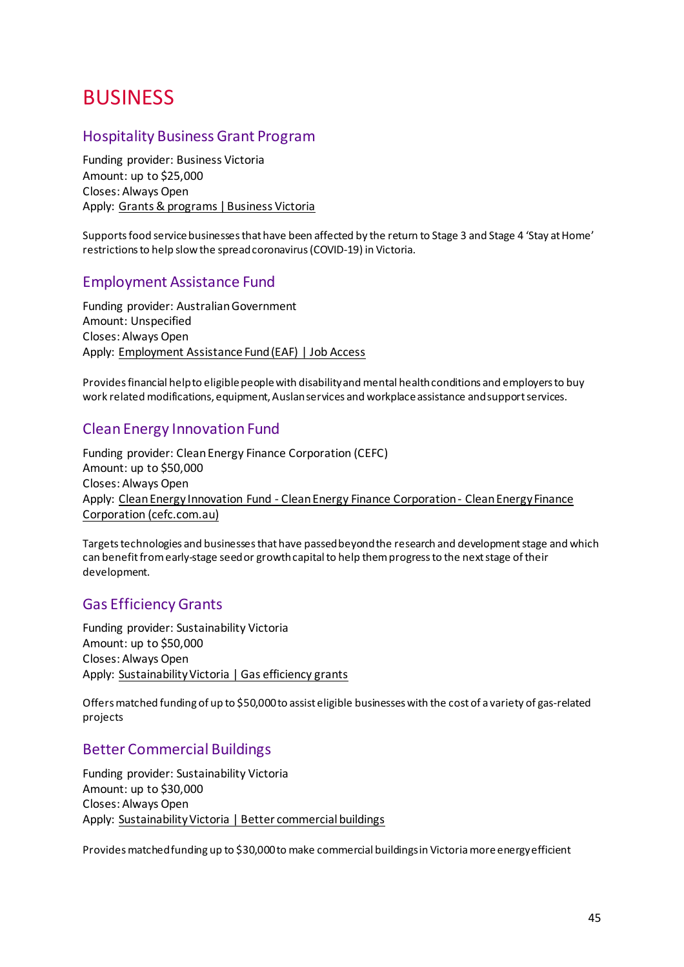# <span id="page-44-0"></span>BUSINESS

### <span id="page-44-1"></span>Hospitality Business Grant Program

Funding provider: Business Victoria Amount: up to \$25,000 Closes: Always Open Apply: [Grants & programs | Business Victoria](https://business.vic.gov.au/grants-and-programs?filter=%7B%22status%22%3A%5B%22opening+soon%22%2C%22open%22%2C%22ongoing%22%5D%7D&page=1)

Supports food service businesses that have been affected by the return to Stage 3 and Stage 4 'Stay at Home' restrictions to help slow the spread coronavirus (COVID-19) in Victoria.

### <span id="page-44-2"></span>Employment Assistance Fund

Funding provider: Australian Government Amount: Unspecified Closes: Always Open Apply: [Employment Assistance Fund \(EAF\) | Job Access](https://www.jobaccess.gov.au/employment-assistance-fund-eaf)

Provides financial help to eligible people with disability and mental health conditions and employers to buy work related modifications, equipment, Auslan services and workplace assistance and support services.

### <span id="page-44-3"></span>Clean Energy Innovation Fund

Funding provider: Clean Energy Finance Corporation (CEFC) Amount: up to \$50,000 Closes: Always Open Apply: [Clean Energy Innovation Fund - Clean Energy Finance Corporation - Clean Energy Finance](https://www.cefc.com.au/where-we-invest/special-investment-programs/clean-energy-innovation-fund/)  [Corporation \(cefc.com.au\)](https://www.cefc.com.au/where-we-invest/special-investment-programs/clean-energy-innovation-fund/)

Targets technologies and businesses that have passed beyond the research and development stage and which can benefit from early-stage seed or growth capital to help them progress to the next stage of their development.

### <span id="page-44-4"></span>Gas Efficiency Grants

Funding provider: Sustainability Victoria Amount: up to \$50,000 Closes: Always Open Apply: [Sustainability Victoria | Gas efficiency grants](https://www.sustainability.vic.gov.au/grants-funding-and-investment/funded-projects/energy-efficiency-and-reducing-emissions-2/gas-efficiency-grants)

Offers matched funding of up to \$50,000 to assist eligible businesses with the cost of a variety of gas-related projects

### <span id="page-44-5"></span>Better Commercial Buildings

Funding provider: Sustainability Victoria Amount: up to \$30,000 Closes: Always Open Apply: [Sustainability Victoria | Better commercial buildings](https://www.sustainability.vic.gov.au/grants-funding-and-investment/funded-projects/energy-efficiency-and-reducing-emissions-2/better-commercial-buildings)

<span id="page-44-6"></span>Provides matched funding up to \$30,000 to make commercial buildings in Victoria more energy efficient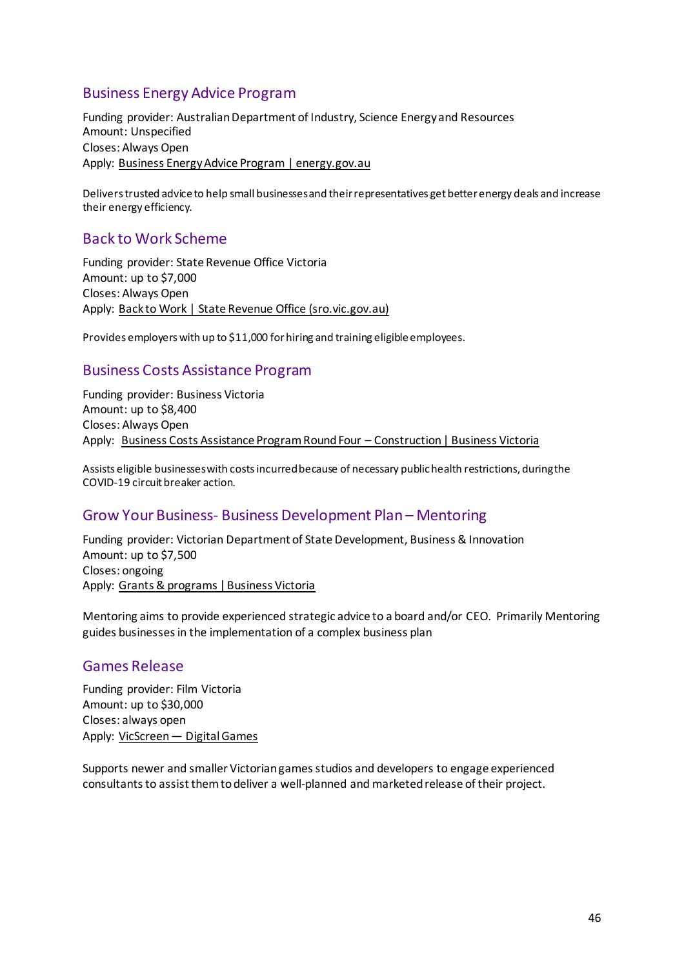# <span id="page-45-0"></span>Business Energy Advice Program

Funding provider: Australian Department of Industry, Science Energy and Resources Amount: Unspecified Closes: Always Open Apply: [Business Energy Advice Program | energy.gov.au](https://www.energy.gov.au/government-priorities/energy-programs/business-energy-advice-program)

<span id="page-45-1"></span>Delivers trusted advice to help small businesses and their representatives get better energy deals and increase their energy efficiency.

### Back to Work Scheme

Funding provider: State Revenue Office Victoria Amount: up to \$7,000 Closes: Always Open Apply: [Back to Work | State Revenue Office \(sro.vic.gov.au\)](https://www.sro.vic.gov.au/back-to-work)

Provides employers with up to \$11,000 for hiring and training eligible employees.

### <span id="page-45-2"></span>Business Costs Assistance Program

Funding provider: Business Victoria Amount: up to \$8,400 Closes: Always Open Apply: [Business Costs Assistance Program Round Four – Construction | Business Victoria](https://business.vic.gov.au/grants-and-programs/business-costs-assistance-program-round-four-construction)

Assists eligible businesses with costs incurred because of necessary public health restrictions, during the COVID-19 circuit breaker action.

### <span id="page-45-3"></span>Grow Your Business- Business Development Plan – Mentoring

Funding provider: Victorian Department of State Development, Business & Innovation Amount: up to \$7,500 Closes: ongoing Apply: [Grants & programs | Business Victoria](https://business.vic.gov.au/grants-and-programs?filter=%7B%22status%22%3A%5B%22opening+soon%22%2C%22open%22%2C%22ongoing%22%5D%7D&page=1)

Mentoring aims to provide experienced strategic advice to a board and/or CEO. Primarily Mentoring guides businesses in the implementation of a complex business plan

#### <span id="page-45-4"></span>Games Release

Funding provider: Film Victoria Amount: up to \$30,000 Closes: always open Apply: [VicScreen — Digital Games](https://vicscreen.vic.gov.au/funding/games)

Supports newer and smaller Victorian games studios and developers to engage experienced consultants to assist them to deliver a well-planned and marketed release of their project.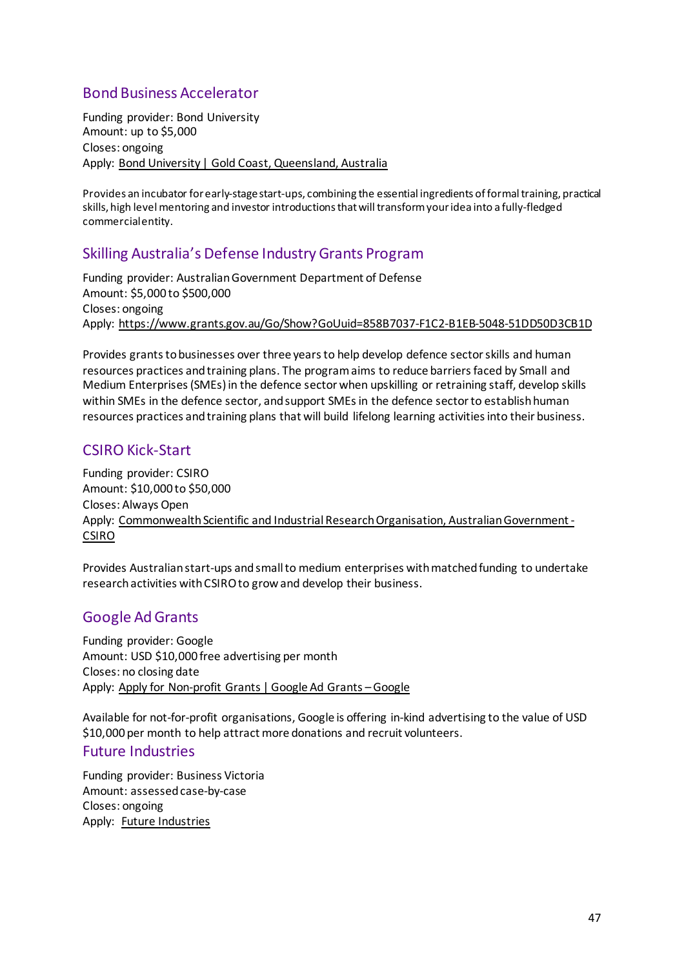# <span id="page-46-0"></span>Bond Business Accelerator

Funding provider: Bond University Amount: up to \$5,000 Closes: ongoing Apply: [Bond University | Gold Coast, Queensland, Australia](https://bond.edu.au/)

Provides an incubator for early-stagestart-ups, combining the essential ingredients of formal training, practical skills, high level mentoring and investor introductions that will transform your idea into a fully-fledged commercial entity.

# <span id="page-46-1"></span>Skilling Australia's Defense Industry Grants Program

Funding provider: Australian Government Department of Defense Amount: \$5,000 to \$500,000 Closes: ongoing Apply:<https://www.grants.gov.au/Go/Show?GoUuid=858B7037-F1C2-B1EB-5048-51DD50D3CB1D>

Provides grants to businesses over three years to help develop defence sector skills and human resources practices and training plans. The program aims to reduce barriers faced by Small and Medium Enterprises (SMEs) in the defence sector when upskilling or retraining staff, develop skills within SMEs in the defence sector, and support SMEs in the defence sector to establish human resources practices and training plans that will build lifelong learning activities into their business.

# <span id="page-46-2"></span>CSIRO Kick-Start

Funding provider: CSIRO Amount: \$10,000 to \$50,000 Closes: Always Open Apply: Commonwealth Scientific and Industrial Research Organisation, Australian Government -[CSIRO](https://www.csiro.au/)

Provides Australian start-ups and small to medium enterprises with matched funding to undertake research activities with CSIRO to grow and develop their business.

# <span id="page-46-3"></span>Google Ad Grants

Funding provider: Google Amount: USD \$10,000 free advertising per month Closes: no closing date Apply: [Apply for Non-profit Grants | Google Ad Grants – Google](https://www.google.com.au/grants/how-to-apply/)

Available for not-for-profit organisations, Google is offering in-kind advertising to the value of USD \$10,000 per month to help attract more donations and recruit volunteers.

### <span id="page-46-4"></span>Future Industries

Funding provider: Business Victoria Amount: assessed case-by-case Closes: ongoing Apply: Future [Industries](https://www.business.vic.gov.au/support-for-your-business/grants-and-assistance/future-industries)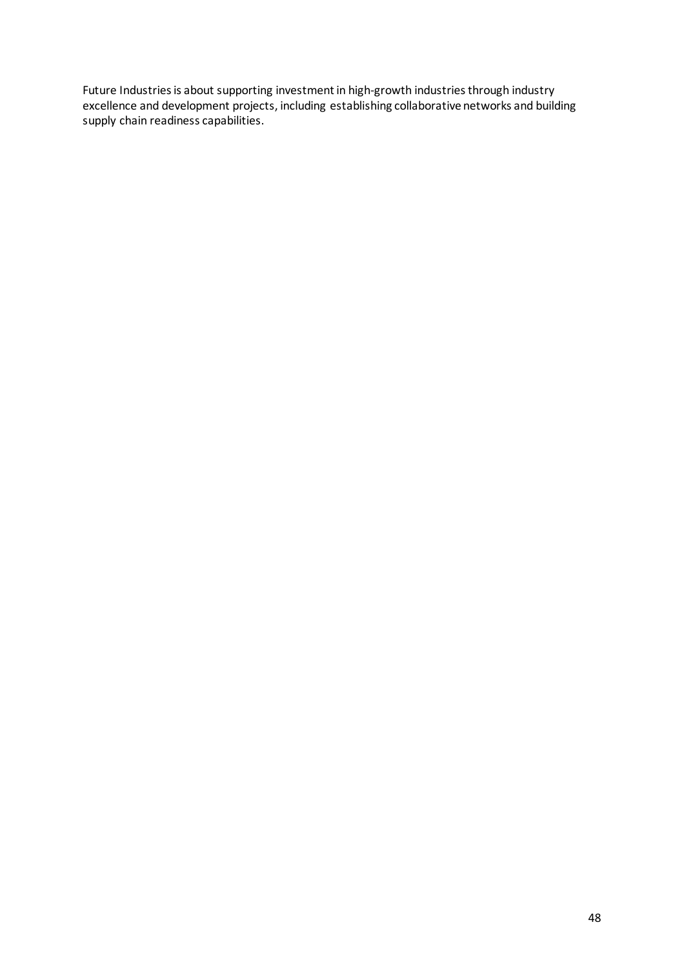Future Industries is about supporting investment in high-growth industries through industry excellence and development projects, including establishing collaborative networks and building supply chain readiness capabilities.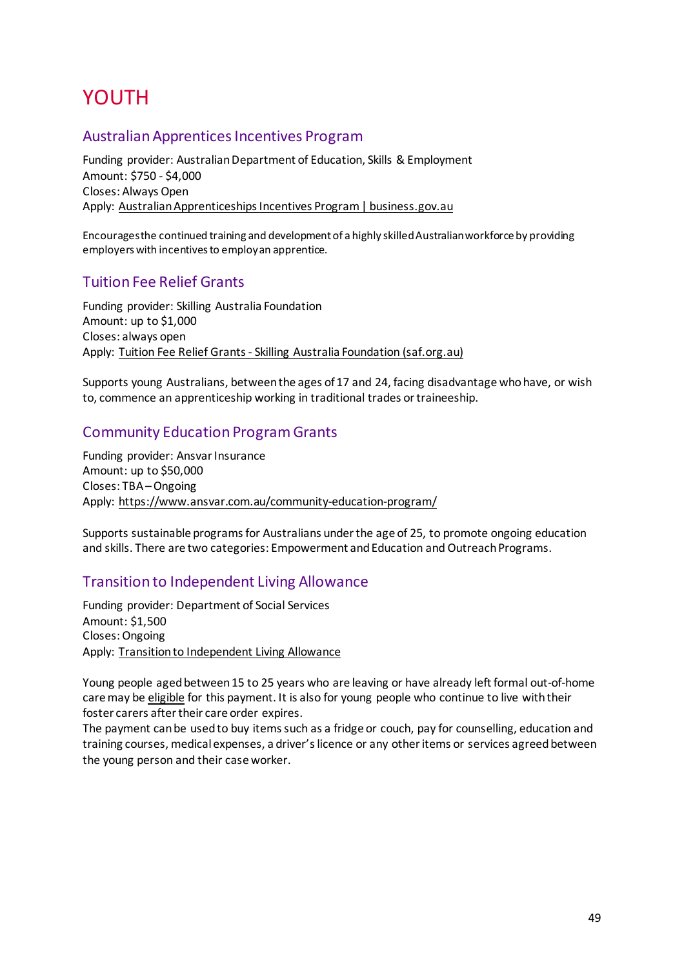# <span id="page-48-0"></span>YOUTH

### <span id="page-48-1"></span>Australian Apprentices Incentives Program

Funding provider: Australian Department of Education, Skills & Employment Amount: \$750 - \$4,000 Closes: Always Open Apply: [Australian Apprenticeships Incentives Program | business.gov.au](https://business.gov.au/Grants-and-Programs/Australian-Apprenticeships-Incentives-Program)

Encourages the continued training and development of a highly skilled Australian workforce by providing employers with incentives to employ an apprentice.

# <span id="page-48-2"></span>Tuition Fee Relief Grants

Funding provider: Skilling Australia Foundation Amount: up to \$1,000 Closes: always open Apply: [Tuition Fee Relief Grants - Skilling Australia Foundation \(saf.org.au\)](https://saf.org.au/tuition-fee-relief-grants/)

Supports young Australians, between the ages of 17 and 24, facing disadvantage who have, or wish to, commence an apprenticeship working in traditional trades or traineeship.

# <span id="page-48-3"></span>Community Education Program Grants

Funding provider: Ansvar Insurance Amount: up to \$50,000 Closes: TBA – Ongoing Apply:<https://www.ansvar.com.au/community-education-program/>

Supports sustainable programs for Australians under the age of 25, to promote ongoing education and skills. There are two categories: Empowerment and Education and Outreach Programs.

# <span id="page-48-4"></span>Transition to Independent Living Allowance

Funding provider: Department of Social Services Amount: \$1,500 Closes: Ongoing Apply: [Transition to Independent Living Allowance](https://www.dss.gov.au/our-responsibilities/families-and-children/benefits-payments/transition-to-independent-living-allowance-tila)

Young people aged between 15 to 25 years who are leaving or have already left formal out-of-home care may be [eligible](https://www.dss.gov.au/our-responsibilities/families-and-children/benefits-payments/transition-to-independent-living-allowance-tila/eligibility) for this payment. It is also for young people who continue to live with their foster carers after their care order expires.

The payment can be used to buy items such as a fridge or couch, pay for counselling, education and training courses, medical expenses, a driver's licence or any other items or services agreed between the young person and their case worker.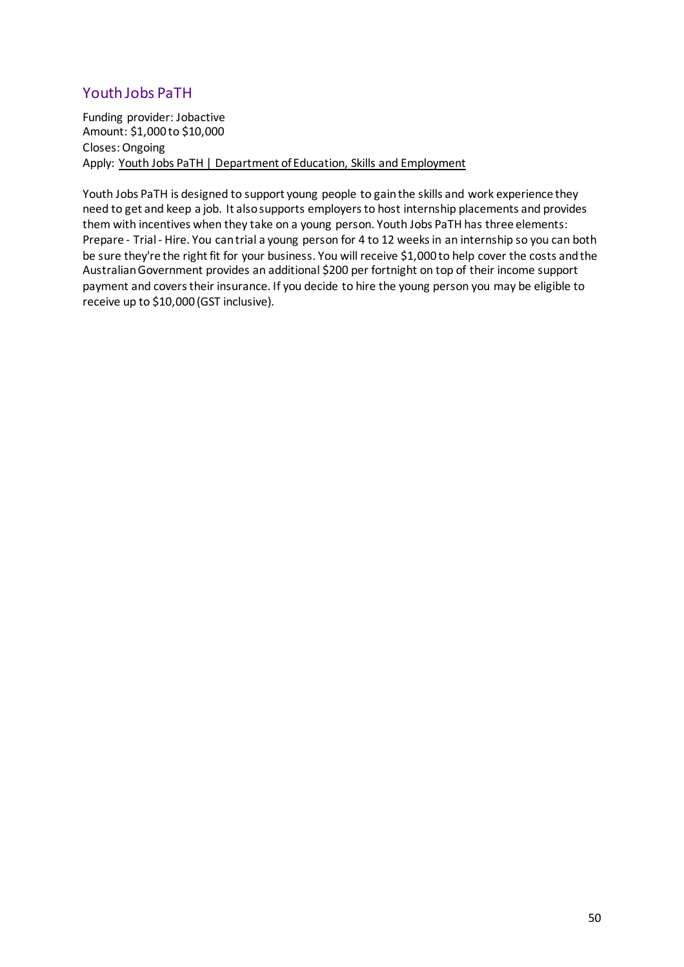# <span id="page-49-0"></span>Youth Jobs PaTH

Funding provider: Jobactive Amount: \$1,000 to \$10,000 Closes: Ongoing Apply: [Youth Jobs PaTH | Department of Education, Skills and Employment](https://www.employment.gov.au/youth-jobs-path)

Youth Jobs PaTH is designed to support young people to gain the skills and work experience they need to get and keep a job. It also supports employers to host internship placements and provides them with incentives when they take on a young person. Youth Jobs PaTH has three elements: Prepare - Trial - Hire. You can trial a young person for 4 to 12 weeks in an internship so you can both be sure they're the right fit for your business. You will receive \$1,000 to help cover the costs and the Australian Government provides an additional \$200 per fortnight on top of their income support payment and covers their insurance. If you decide to hire the young person you may be eligible to receive up to \$10,000 (GST inclusive).